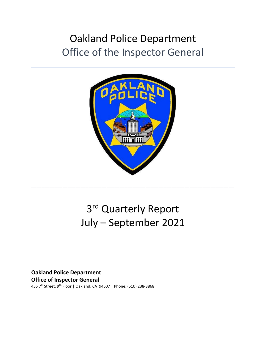## Oakland Police Department Office of the Inspector General



# 3rd Quarterly Report July – September 2021

\_\_\_\_\_\_\_\_\_\_\_\_\_\_\_\_\_\_\_\_\_\_\_\_\_\_\_\_\_\_\_\_\_\_\_\_\_\_\_\_\_\_\_\_\_\_\_\_\_\_\_\_\_\_\_\_\_\_\_\_\_\_\_\_\_\_\_\_\_\_\_\_\_\_\_\_\_\_

**Oakland Police Department Office of Inspector General** 455 7th Street, 9th Floor | Oakland, CA 94607 | Phone: (510) 238-3868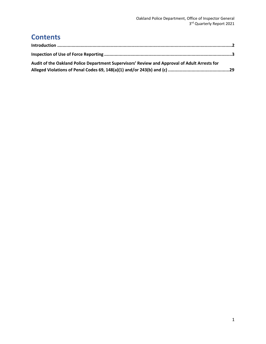### **Contents**

| Audit of the Oakland Police Department Supervisors' Review and Approval of Adult Arrests for |  |
|----------------------------------------------------------------------------------------------|--|
|                                                                                              |  |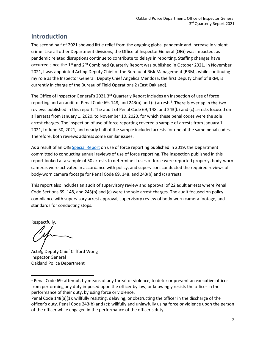### <span id="page-2-0"></span>**Introduction**

The second half of 2021 showed little relief from the ongoing global pandemic and increase in violent crime. Like all other Department divisions, the Office of Inspector General (OIG) was impacted, as pandemic related disruptions continue to contribute to delays in reporting. Staffing changes have occurred since the 1<sup>st</sup> and 2<sup>nd</sup> Combined Quarterly Report was published in October 2021. In November 2021, I was appointed Acting Deputy Chief of the Bureau of Risk Management (BRM), while continuing my role as the Inspector General. Deputy Chief Angelica Mendoza, the first Deputy Chief of BRM, is currently in charge of the Bureau of Field Operations 2 (East Oakland).

The Office of Inspector General's 2021 3<sup>rd</sup> Quarterly Report includes an inspection of use of force reporting and an audit of Penal Code 69, [1](#page-2-1)48, and 243(b) and (c) arrests<sup>1</sup>. There is overlap in the two reviews published in this report. The audit of Penal Code 69, 148, and 243(b) and (c) arrests focused on all arrests from January 1, 2020, to November 10, 2020, for which these penal codes were the sole arrest charges. The inspection of use of force reporting covered a sample of arrests from January 1, 2021, to June 30, 2021, and nearly half of the sample included arrests for one of the same penal codes. Therefore, both reviews address some similar issues.

As a result of an OIG [Special Report](https://oaklandca.s3.us-west-1.amazonaws.com/government/o/OPD/a/publicreports/oak072446.pdf) on use of force reporting published in 2019, the Department committed to conducting annual reviews of use of force reporting. The inspection published in this report looked at a sample of 50 arrests to determine if uses of force were reported properly, body-worn cameras were activated in accordance with policy, and supervisors conducted the required reviews of body-worn camera footage for Penal Code 69, 148, and 243(b) and (c) arrests.

This report also includes an audit of supervisory review and approval of 22 adult arrests where Penal Code Sections 69, 148, and 243(b) and (c) were the sole arrest charges. The audit focused on policy compliance with supervisory arrest approval, supervisory review of body-worn camera footage, and standards for conducting stops.

Respectfully,

Acting Deputy Chief Clifford Wong Inspector General Oakland Police Department

<span id="page-2-1"></span><sup>&</sup>lt;sup>1</sup> Penal Code 69: attempt, by means of any threat or violence, to deter or prevent an executive officer from performing any duty imposed upon the officer by law, or knowingly resists the officer in the performance of their duty, by using force or violence.

Penal Code 148(a)(1): willfully resisting, delaying, or obstructing the officer in the discharge of the officer's duty. Penal Code 243(b) and (c): willfully and unlawfully using force or violence upon the person of the officer while engaged in the performance of the officer's duty.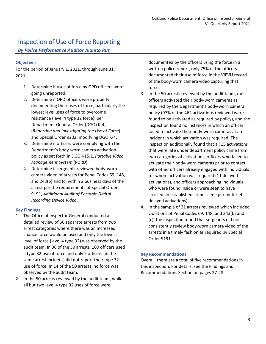### <span id="page-3-0"></span>Inspection of Use of Force Reporting

*By Police Performance Auditor Juanito Rus*

### **Objectives**

For the period of January 1, 2021, through June 31, 2021:

- 1. Determine if uses of force by OPD officers were going unreported.
- 2. Determine if OPD officers were properly documenting their uses of force, particularly the lowest level uses of force to overcome resistance (level 4 type 32 force), per Department General Order (DGO) K-4, (*Reporting and Investigating the Use of Force*) and Special Order 9202, modifying DGO K-4.
- 3. Determine if officers were complying with the Department's body-worn camera activation policy as set forth in DGO I-15.1, *Portable Video Management System* (PDRD).
- 4. Determine if sergeants reviewed body-worn camera video of arrests for Penal Codes 69, 148, and 243(b) and (c) within 2 business days of the arrest per the requirements of Special Order 9191, *Additional Audit of Portable Digital Recording Device Video*.

### **Key Findings**

- 1. The Office of Inspector General conducted a detailed review of 50 separate arrests from two arrest categories where there was an increased chance force would be used and only the lowest level of force (level 4 type 32) was observed by the audit team. In 36 of the 50 arrests, 100 officers used a type 32 use of force and only 2 officers (in the same arrest incident) did not report their type 32 use of force. In 14 of the 50 arrests, no force was observed by the audit team.
- 2. In the 50 arrests reviewed by the audit team, while all but two level 4 type 32 uses of force were

documented by the officers using the force in a written police report, only 75% of the officers documented their use of force in the VIEVU record of the body-worn camera video capturing that force.

- 3. In the 50 arrests reviewed by the audit team, most officers activated their body-worn cameras as required by the Department's body-worn camera policy (97% of the 462 activations reviewed were found to be activated as required by policy), and the inspection found no instances in which an officer failed to activate their body-worn cameras at an incident in which activation was required. The inspection additionally found that all 15 activations that were late under department policy came from two categories of activations, officers who failed to activate their body-worn cameras prior to contact with other officers already engaged with individuals for whom activation was required (11 delayed activations), and officers approaching individuals who were found inside or were seen to have crossed an established crime scene perimeter (4 delayed activations).
- 4. In the sample of 21 arrests reviewed which included violations of Penal Codes 69, 148, and 243(b) and (c), the inspection found that sergeants did not consistently review body-worn camera video of the arrests in a timely fashion as required by Special Order 9191.

### **Key Recommendations**

Overall, there are a total of five recommendations in this inspection. For details, see the Findings and Recommendations Section on pages 27-28.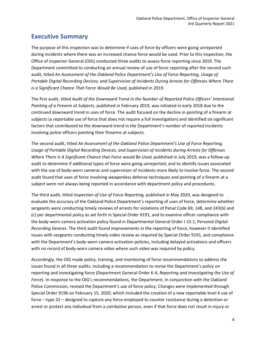### **Executive Summary**

The purpose of this inspection was to determine if uses of force by officers were going unreported during incidents where there was an increased chance force would be used. Prior to this inspection, the Office of Inspector General (OIG) conducted three audits to assess force reporting since 2019. The Department committed to conducting an annual review of use of force reporting after the second such audit, titled *An Assessment of the Oakland Police Department's Use of Force Reporting, Usage of Portable Digital Recording Devices, and Supervision of Incidents During Arrests for Offenses Where There is a Significant Chance That Force Would Be Used, published in 2019.* 

The first audit, titled *Audit of the Downward Trend in the Number of Reported Police Officers' Intentional Pointing of a Firearm at Subjects*, published in February 2019, was initiated in early 2018 due to the continued downward trend in uses of force. The audit focused on the decline in pointing of a firearm at subjects (a reportable use of force that does not require a full investigation) and identified six significant factors that contributed to the downward trend in the Department's number of reported incidents involving police officers pointing their firearms at subjects.

The second audit, titled *An Assessment of the Oakland Police Department's Use of Force Reporting, Usage of Portable Digital Recording Devices, and Supervision of Incidents during Arrests for Offenses Where There Is A Significant Chance that Force would Be Used*, published in July 2019, was a follow-up audit to determine if additional types of force were going unreported, and to identify issues associated with the use of body-worn cameras and supervision of incidents more likely to involve force. The second audit found that uses of force involving weaponless defense techniques and pointing of a firearm at a subject were not always being reported in accordance with department policy and procedures.

The third audit, titled *Inspection of Use of Force Reporting,* published in May 2020, was designed to evaluate the accuracy of the Oakland Police Department's reporting of uses of force, determine whether sergeants were conducting timely reviews of arrests for violations of Penal Code 69, 148, and 243(b) and (c) per departmental policy as set forth in Special Order 9191, and to examine officer compliance with the body-worn camera activation policy found in Departmental General Order I-15.1, *Personal Digital Recording Devices.* The third audit found improvements in the reporting of force, however it identified issues with sergeants conducting timely video review as required by Special Order 9191, and compliance with the Department's body-worn camera activation policies, including delayed activations and officers with no record of body-worn camera video where such video was required by policy.

Accordingly, the OIG made policy, training, and monitoring of force recommendations to address the issues found in all three audits, including a recommendation to revise the Department's policy on reporting and investigating force (Department General Order K-4, *Reporting and Investigating the Use of Force*). In response to the OIG's recommendations, the Department, in conjunction with the Oakland Police Commission, revised the Department's use of force policy. Changes were implemented through Special Order 9196 on February 15, 2020, which included the creation of a new reportable level 4 use of force – type 32 – designed to capture any force employed to counter resistance during a detention or arrest or protect any individual from a combative person, even if that force does not result in injury or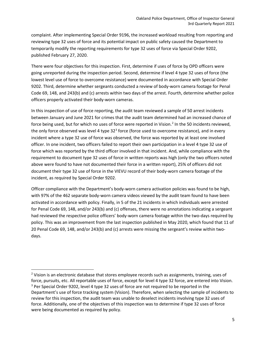complaint. After implementing Special Order 9196, the increased workload resulting from reporting and reviewing type 32 uses of force and its potential impact on public safety caused the Department to temporarily modify the reporting requirements for type 32 uses of force via Special Order 9202, published February 27, 2020.

There were four objectives for this inspection. First, determine if uses of force by OPD officers were going unreported during the inspection period. Second, determine if level 4 type 32 uses of force (the lowest level use of force to overcome resistance) were documented in accordance with Special Order 9202. Third, determine whether sergeants conducted a review of body-worn camera footage for Penal Code 69, 148, and 243(b) and (c) arrests within two days of the arrest. Fourth, determine whether police officers properly activated their body-worn cameras.

In this inspection of use of force reporting, the audit team reviewed a sample of 50 arrest incidents between January and June 2021 for crimes that the audit team determined had an increased chance of force being used, but for which no uses of force were reported in Vision.<sup>[2](#page-5-0)</sup> In the 50 incidents reviewed, the only force observed was level 4 type  $32<sup>3</sup>$  $32<sup>3</sup>$  force (force used to overcome resistance), and in every incident where a type 32 use of force was observed, the force was reported by at least one involved officer. In one incident, two officers failed to report their own participation in a level 4 type 32 use of force which was reported by the third officer involved in that incident. And, while compliance with the requirement to document type 32 uses of force in written reports was high (only the two officers noted above were found to have not documented their force in a written report), 25% of officers did not document their type 32 use of force in the VIEVU record of their body-worn camera footage of the incident, as required by Special Order 9202.

Officer compliance with the Department's body-worn camera activation policies was found to be high, with 97% of the 462 separate body-worn camera videos viewed by the audit team found to have been activated in accordance with policy. Finally, in 5 of the 21 incidents in which individuals were arrested for Penal Code 69, 148, and/or 243(b) and (c) offenses, there were no annotations indicating a sergeant had reviewed the respective police officers' body-worn camera footage within the two-days required by policy. This was an improvement from the last inspection published in May 2020, which found that 11 of 20 Penal Code 69, 148, and/or 243(b) and (c) arrests were missing the sergeant's review within twodays.

<span id="page-5-1"></span><span id="page-5-0"></span> $2$  Vision is an electronic database that stores employee records such as assignments, training, uses of force, pursuits, etc. All reportable uses of force, except for level 4 type 32 force, are entered into Vision. <sup>3</sup> Per Special Order 9202, level 4 type 32 uses of force are not required to be reported in the Department's use of force tracking system (Vision). Therefore, when selecting the sample of incidents to review for this inspection, the audit team was unable to deselect incidents involving type 32 uses of force. Additionally, one of the objectives of this inspection was to determine if type 32 uses of force were being documented as required by policy.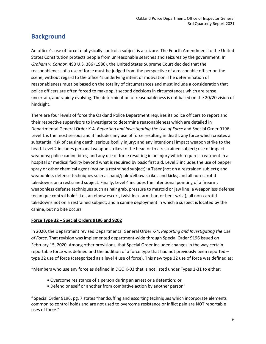### **Background**

An officer's use of force to physically control a subject is a seizure. The Fourth Amendment to the United States Constitution protects people from unreasonable searches and seizures by the government. In *Graham v. Connor*, 490 U.S. 386 (1986), the United States Supreme Court decided that the reasonableness of a use of force must be judged from the perspective of a reasonable officer on the scene, without regard to the officer's underlying intent or motivation. The determination of reasonableness must be based on the totality of circumstances and must include a consideration that police officers are often forced to make split second decisions in circumstances which are tense, uncertain, and rapidly evolving. The determination of reasonableness is not based on the 20/20 vision of hindsight.

There are four levels of force the Oakland Police Department requires its police officers to report and their respective supervisors to investigate to determine reasonableness which are detailed in Departmental General Order K-4, *Reporting and Investigating the Use of Force* and Special Order 9196. Level 1 is the most serious and it includes any use of force resulting in death; any force which creates a substantial risk of causing death; serious bodily injury; and any intentional impact weapon strike to the head. Level 2 includes personal weapon strikes to the head or to a restrained subject; use of impact weapons; police canine bites; and any use of force resulting in an injury which requires treatment in a hospital or medical facility beyond what is required by basic first aid. Level 3 includes the use of pepper spray or other chemical agent (not on a restrained subject); a Taser (not on a restrained subject); and weaponless defense techniques such as hand/palm/elbow strikes and kicks; and all non-carotid takedowns on a restrained subject. Finally, Level 4 includes the intentional pointing of a firearm; weaponless defense techniques such as hair grab, pressure to mastoid or jaw line; a weaponless defense technique control hold<sup>4</sup> (i.e., an elbow escort, twist lock, arm-bar, or bent wrist); all non-carotid takedowns not on a restrained subject; and a canine deployment in which a suspect is located by the canine, but no bite occurs.

### **Force Type 32 – Special Orders 9196 and 9202**

In 2020, the Department revised Departmental General Order K-4, *Reporting and Investigating the Use of Force*. That revision was implemented department-wide through Special Order 9196 issued on February 15, 2020. Among other provisions, that Special Order included changes in the way certain reportable force was defined and the addition of a force type that had not previously been reported – type 32 use of force (categorized as a level 4 use of force). This new type 32 use of force was defined as:

"Members who use any force as defined in DGO K-03 that is not listed under Types 1-31 to either:

- Overcome resistance of a person during an arrest or a detention; or
- Defend oneself or another from combative action by another person"

<span id="page-6-0"></span><sup>4</sup> Special Order 9196, pg. 7 states "handcuffing and escorting techniques which incorporate elements common to control holds and are not used to overcome resistance or inflict pain are NOT reportable uses of force."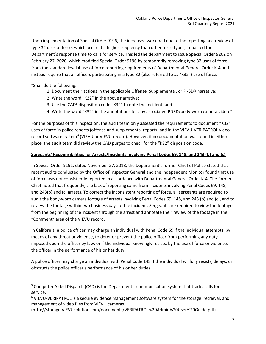Upon implementation of Special Order 9196, the increased workload due to the reporting and review of type 32 uses of force, which occur at a higher frequency than other force types, impacted the Department's response time to calls for service. This led the department to issue Special Order 9202 on February 27, 2020, which modified Special Order 9196 by temporarily removing type 32 uses of force from the standard level 4 use of force reporting requirements of Departmental General Order K-4 and instead require that all officers participating in a type 32 (also referred to as "K32") use of force:

"Shall do the following:

- 1. Document their actions in the applicable Offense, Supplemental, or FI/SDR narrative;
- 2. Write the word "K32" in the above narrative;
- 3. Use the CAD<sup>[5](#page-7-0)</sup> disposition code "K32" to note the incident; and
- 4. Write the word "K32" in the annotations for any associated PDRD/body-worn camera video."

For the purposes of this inspection, the audit team only assessed the requirements to document "K32" uses of force in police reports (offense and supplemental reports) and in the VIEVU-VERIPATROL video record software system<sup>[6](#page-7-1)</sup> (VIEVU or VIEVU record). However, if no documentation was found in either place, the audit team did review the CAD purges to check for the "K32" disposition code.

### **Sergeants' Responsibilities for Arrests/Incidents Involving Penal Codes 69, 148, and 243 (b) and (c)**

In Special Order 9191, dated November 27, 2018, the Department's former Chief of Police stated that recent audits conducted by the Office of Inspector General and the Independent Monitor found that use of force was not consistently reported in accordance with Departmental General Order K-4. The former Chief noted that frequently, the lack of reporting came from incidents involving Penal Codes 69, 148, and 243(b) and (c) arrests. To correct the inconsistent reporting of force, all sergeants are required to audit the body-worn camera footage of arrests involving Penal Codes 69, 148, and 243 (b) and (c), and to review the footage within two business days of the incident. Sergeants are required to view the footage from the beginning of the incident through the arrest and annotate their review of the footage in the "Comment" area of the VIEVU record.

In California, a police officer may charge an individual with Penal Code 69 if the individual attempts, by means of any threat or violence, to deter or prevent the police officer from performing any duty imposed upon the officer by law, or if the individual knowingly resists, by the use of force or violence, the officer in the performance of his or her duty.

A police officer may charge an individual with Penal Code 148 if the individual willfully resists, delays, or obstructs the police officer's performance of his or her duties.

<span id="page-7-0"></span><sup>&</sup>lt;sup>5</sup> Computer Aided Dispatch (CAD) is the Department's communication system that tracks calls for service.

<span id="page-7-1"></span><sup>6</sup> VIEVU-VERIPATROL is a secure evidence management software system for the storage, retrieval, and management of video files from VIEVU cameras.

<sup>(</sup>http://storage.VIEVUsolution.com/documents/VERIPATROL%20Admin%20User%20Guide.pdf)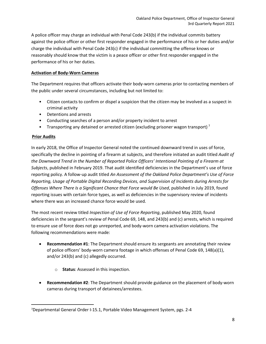A police officer may charge an individual with Penal Code 243(b) if the individual commits battery against the police officer or other first responder engaged in the performance of his or her duties and/or charge the individual with Penal Code 243(c) if the individual committing the offense knows or reasonably should know that the victim is a peace officer or other first responder engaged in the performance of his or her duties.

### **Activation of Body-Worn Cameras**

The Department requires that officers activate their body-worn cameras prior to contacting members of the public under several circumstances, including but not limited to:

- Citizen contacts to confirm or dispel a suspicion that the citizen may be involved as a suspect in criminal activity
- Detentions and arrests
- Conducting searches of a person and/or property incident to arrest
- Transporting any detained or arrested citizen (excluding prisoner wagon transport)<sup>[7](#page-8-0)</sup>

### **Prior Audits**

In early 2018, the Office of Inspector General noted the continued downward trend in uses of force, specifically the decline in pointing of a firearm at subjects, and therefore initiated an audit titled *Audit of the Downward Trend in the Number of Reported Police Officers' Intentional Pointing of a Firearm at Subjects*, published in February 2019. That audit identified deficiencies in the Department's use of force reporting policy. A follow-up audit titled *An Assessment of the Oakland Police Department's Use of Force Reporting, Usage of Portable Digital Recording Devices, and Supervision of Incidents during Arrests for Offenses Where There Is a Significant Chance that Force would Be Used*, published in July 2019, found reporting issues with certain force types, as well as deficiencies in the supervisory review of incidents where there was an increased chance force would be used.

The most recent review titled *Inspection of Use of Force Reporting*, published May 2020, found deficiencies in the sergeant's review of Penal Code 69, 148, and 243(b) and (c) arrests, which is required to ensure use of force does not go unreported, and body-worn camera activation violations. The following recommendations were made:

- **Recommendation #1**: The Department should ensure its sergeants are annotating their review of police officers' body-worn camera footage in which offenses of Penal Code 69, 148(a)(1), and/or 243(b) and (c) allegedly occurred.
	- o **Status**: Assessed in this inspection.
- **Recommendation #2**: The Department should provide guidance on the placement of body-worn cameras during transport of detainees/arrestees.

<span id="page-8-0"></span><sup>7</sup> Departmental General Order I-15.1, Portable Video Management System, pgs. 2-4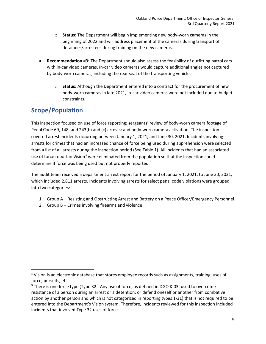- o **Status:** The Department will begin implementing new body-worn cameras in the beginning of 2022 and will address placement of the cameras during transport of detainees/arrestees during training on the new cameras.
- **Recommendation #3:** The Department should also assess the feasibility of outfitting patrol cars with in-car video cameras. In-car video cameras would capture additional angles not captured by body-worn cameras, including the rear seat of the transporting vehicle.
	- o **Status:** Although the Department entered into a contract for the procurement of new body-worn cameras in late 2021, in-car video cameras were not included due to budget constraints.

### **Scope/Population**

This inspection focused on use of force reporting; sergeants' review of body-worn camera footage of Penal Code 69, 148, and 243(b) and (c) arrests; and body-worn camera activation. The inspection covered arrest incidents occurring between January 1, 2021, and June 30, 2021. Incidents involving arrests for crimes that had an increased chance of force being used during apprehension were selected from a list of all arrests during the inspection period (See Table 1). All incidents that had an associated use of force report in Vision<sup>[8](#page-9-0)</sup> were eliminated from the population so that the inspection could determine if force was being used but not properly reported.<sup>[9](#page-9-1)</sup>

The audit team received a department arrest report for the period of January 1, 2021, to June 30, 2021, which included 2,811 arrests. Incidents involving arrests for select penal code violations were grouped into two categories:

- 1. Group A Resisting and Obstructing Arrest and Battery on a Peace Officer/Emergency Personnel
- 2. Group B Crimes involving firearms and violence

<span id="page-9-0"></span><sup>8</sup> Vision is an electronic database that stores employee records such as assignments, training, uses of force, pursuits, etc.

<span id="page-9-1"></span><sup>&</sup>lt;sup>9</sup> There is one force type (Type 32 - Any use of force, as defined in DGO K-03, used to overcome resistance of a person during an arrest or a detention; or defend oneself or another from combative action by another person and which is not categorized in reporting types 1-31) that is not required to be entered into the Department's Vision system. Therefore, incidents reviewed for this inspection included incidents that involved Type 32 uses of force.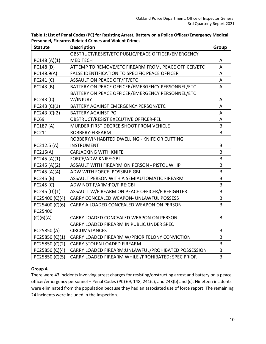| <b>Statute</b> | <b>Description</b>                                   | Group |
|----------------|------------------------------------------------------|-------|
|                | OBSTRUCT/RESIST/ETC PUBLIC/PEACE OFFICER/EMERGENCY   |       |
| PC148 (A)(1)   | <b>MED TECH</b>                                      | A     |
| PC148 (D)      | ATTEMP TO REMOVE/ETC FIREARM FROM, PEACE OFFICER/ETC | A     |
| PC148.9(A)     | FALSE IDENTIFICATION TO SPECIFIC PEACE OFFICER       | A     |
| PC241 (C)      | ASSAULT ON PEACE OFF/FF/ETC                          | A     |
| PC243 (B)      | BATTERY ON PEACE OFFICER/EMERGENCY PERSONNEL/ETC     | A     |
|                | BATTERY ON PEACE OFFICER/EMERGENCY PERSONNEL/ETC     |       |
| PC243 (C)      | W/INJURY                                             | A     |
| PC243 (C)(1)   | BATTERY AGAINST EMERGENCY PERSON/ETC                 | A     |
| PC243 (C)(2)   | <b>BATTERY AGAINST PO</b>                            | A     |
| <b>PC69</b>    | OBSTRUCT/RESIST EXECUTIVE OFFICER-FEL                | A     |
| PC187 (A)      | MURDER: FIRST DEGREE: SHOOT FROM VEHICLE             | B     |
| PC211          | ROBBERY-FIREARM                                      | B     |
|                | ROBBERY/INHABITED DWELLING - KNIFE OR CUTTING        |       |
| PC212.5 (A)    | <b>INSTRUMENT</b>                                    | B     |
| PC215(A)       | <b>CARJACKING WITH KNIFE</b>                         | B     |
| PC245 (A)(1)   | FORCE/ADW-KNIFE:GBI                                  | B     |
| PC245 (A)(2)   | ASSAULT WITH FIREARM ON PERSON - PISTOL WHIP         | B     |
| PC245 (A)(4)   | ADW WITH FORCE: POSSIBLE GBI                         | B     |
| PC245 (B)      | ASSAULT PERSON WITH A SEMIAUTOMATIC FIREARM          | B     |
| PC245 (C)      | ADW NOT F/ARM:PO/FIRE:GBI                            | B     |
| PC245(D)(1)    | ASSAULT W/FIREARM ON PEACE OFFICER/FIREFIGHTER       | B     |
| PC25400 (C)(4) | CARRY CONCEALED WEAPON- UNLAWFUL POSSESS             | B     |
| PC25400 (C)(6) | CARRY A LOADED CONCEALED WEAPON ON PERSON            | B     |
| PC25400        |                                                      |       |
| (C)(6)(A)      | CARRY LOADED CONCEALED WEAPON ON PERSON              | B     |
|                | CARRY LOADED FIREARM IN PUBLIC UNDER SPEC            |       |
| PC25850 (A)    | <b>CIRCUMSTANCES</b>                                 | B     |
| PC25850 (C)(1) | CARRY LOADED FIREARM W/PRIOR FELONY CONVICTION       | B     |
| PC25850 (C)(2) | <b>CARRY STOLEN LOADED FIREARM</b>                   | B     |
| PC25850 (C)(4) | CARRY LOADED FIREARM: UNLAWFUL/PROHIBATED POSSESSION | B     |
| PC25850 (C)(5) | CARRY LOADED FIREARM WHILE / PROHIBATED: SPEC PRIOR  | B     |

**Table 1: List of Penal Codes (PC) for Resisting Arrest, Battery on a Police Officer/Emergency Medical Personnel, Firearms Related Crimes and Violent Crimes**

### **Group A**

There were 43 incidents involving arrest charges for resisting/obstructing arrest and battery on a peace officer/emergency personnel – Penal Codes (PC) 69, 148, 241(c), and 243(b) and (c). Nineteen incidents were eliminated from the population because they had an associated use of force report. The remaining 24 incidents were included in the inspection.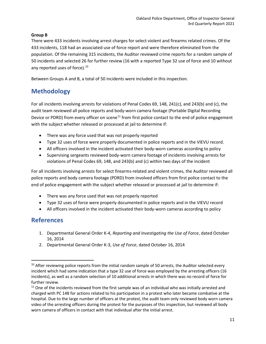### **Group B**

There were 433 incidents involving arrest charges for select violent and firearms related crimes. Of the 433 incidents, 118 had an associated use of force report and were therefore eliminated from the population. Of the remaining 315 incidents, the Auditor reviewed crime reports for a random sample of 50 incidents and selected 26 for further review (16 with a reported Type 32 use of force and 10 without any reported uses of force).<sup>[10](#page-11-0)</sup>

Between Groups A and B, a total of 50 incidents were included in this inspection.

### **Methodology**

For all incidents involving arrests for violations of Penal Codes 69, 148, 241(c), and 243(b) and (c), the audit team reviewed all police reports and body-worn camera footage (Portable Digital Recording Device or PDRD) from every officer on scene<sup>[11](#page-11-1)</sup> from first police contact to the end of police engagement with the subject whether released or processed at jail to determine if:

- There was any force used that was not properly reported
- Type 32 uses of force were properly documented in police reports and in the VIEVU record.
- All officers involved in the incident activated their body-worn cameras according to policy
- Supervising sergeants reviewed body-worn camera footage of incidents involving arrests for violations of Penal Codes 69, 148, and 243(b) and (c) within two days of the incident

For all incidents involving arrests for select firearms-related and violent crimes, the Auditor reviewed all police reports and body camera footage (PDRD) from involved officers from first police contact to the end of police engagement with the subject whether released or processed at jail to determine if:

- There was any force used that was not properly reported
- Type 32 uses of force were properly documented in police reports and in the VIEVU record
- All officers involved in the incident activated their body-worn cameras according to policy

### **References**

- 1. Departmental General Order K-4, *Reporting and Investigating the Use of Force*, dated October 16, 2014
- 2. Departmental General Order K-3, *Use of Force*, dated October 16, 2014

<span id="page-11-0"></span> $10$  After reviewing police reports from the initial random sample of 50 arrests, the Auditor selected every incident which had some indication that a type 32 use of force was employed by the arresting officers (16 incidents), as well as a random selection of 10 additional arrests in which there was no record of force for further review.

<span id="page-11-1"></span> $11$  One of the incidents reviewed from the first sample was of an individual who was initially arrested and charged with PC 148 for actions related to his participation in a protest who later became combative at the hospital. Due to the large number of officers at the protest, the audit team only reviewed body worn camera video of the arresting officers during the protest for the purposes of this inspection, but reviewed all body worn camera of officers in contact with that individual after the initial arrest.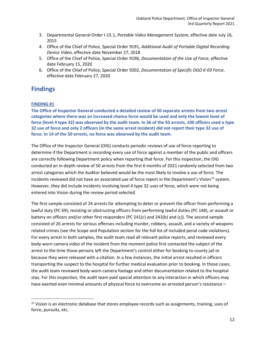- 3. Departmental General Order I-15.1, *Portable Video Management System,* effective date July 16, 2015
- 4. Office of the Chief of Police, Special Order 9191, *Additional Audit of Portable Digital Recording Device Video*, effective date November 27, 2018
- 5. Office of the Chief of Police, Special Order 9196, *Documentation of the Use of Force*, effective date February 15, 2020
- 6. Office of the Chief of Police, Special Order 9202, *Documentation of Specific DGO K-03 Force*, effective date February 27, 2020

### **Findings**

### **FINDING #1**

**The Office of Inspector General conducted a detailed review of 50 separate arrests from two arrest categories where there was an increased chance force would be used and only the lowest level of force (level 4 type 32) was observed by the audit team. In 36 of the 50 arrests, 100 officers used a type 32 use of force and only 2 officers (in the same arrest incident) did not report their type 32 use of force. In 14 of the 50 arrests, no force was observed by the audit team.**

The Office of the Inspector General (OIG) conducts periodic reviews of use of force reporting to determine if the Department is recording every use of force against a member of the public and officers are correctly following Department policy when reporting that force. For this inspection, the OIG conducted an in-depth review of 50 arrests from the first 6 months of 2021 randomly selected from two arrest categories which the Auditor believed would be the most likely to involve a use of force. The incidents reviewed did not have an associated use of force report in the Department's Vision<sup>[12](#page-12-0)</sup> system. However, they did include incidents involving level 4 type 32 uses of force, which were not being entered into Vision during the review period selected.

The first sample consisted of 24 arrests for attempting to deter or prevent the officer from performing a lawful duty (PC 69), resisting or obstructing officers from performing lawful duties (PC 148), or assault or battery on officers and/or other first responders (PC 241(c) and 243(b) and (c)). The second sample consisted of 26 arrests for serious offenses including murder, robbery, assault, and a variety of weapons related crimes (see the Scope and Population section for the full list of included penal code violations). For every arrest in both samples, the audit team read all relevant police reports, and reviewed every body-worn camera video of the incident from the moment police first contacted the subject of the arrest to the time those persons left the Department's control either for booking to county jail or because they were released with a citation. In a few instances, the initial arrest resulted in officers transporting the suspect to the hospital for further medical evaluation prior to booking. In those cases, the audit team reviewed body-worn camera footage and other documentation related to the hospital stay. For this inspection, the audit team paid special attention to any interaction in which officers may have exerted even minimal amounts of physical force to overcome an arrested person's resistance –

<span id="page-12-0"></span> $12$  Vision is an electronic database that stores employee records such as assignments, training, uses of force, pursuits, etc.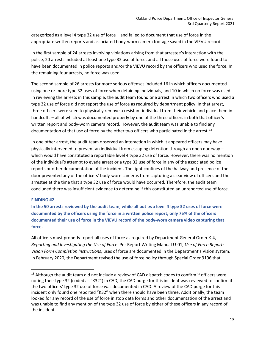categorized as a level 4 type 32 use of force – and failed to document that use of force in the appropriate written reports and associated body-worn camera footage saved in the VIEVU record.

In the first sample of 24 arrests involving violations arising from that arrestee's interaction with the police, 20 arrests included at least one type 32 use of force, and all those uses of force were found to have been documented in police reports and/or the VIEVU record by the officers who used the force. In the remaining four arrests, no force was used.

The second sample of 26 arrests for more serious offenses included 16 in which officers documented using one or more type 32 uses of force when detaining individuals, and 10 in which no force was used. In reviewing the arrests in this sample, the audit team found one arrest in which two officers who used a type 32 use of force did not report the use of force as required by department policy. In that arrest, three officers were seen to physically remove a resistant individual from their vehicle and place them in handcuffs – all of which was documented properly by one of the three officers in both that officer's written report and body-worn camera record. However, the audit team was unable to find any documentation of that use of force by the other two officers who participated in the arrest.<sup>[13](#page-13-0)</sup>

In one other arrest, the audit team observed an interaction in which it appeared officers may have physically intervened to prevent an individual from escaping detention through an open doorway – which would have constituted a reportable level 4 type 32 use of force. However, there was no mention of the individual's attempt to evade arrest or a type 32 use of force in any of the associated police reports or other documentation of the incident. The tight confines of the hallway and presence of the door prevented any of the officers' body-worn cameras from capturing a clear view of officers and the arrestee at the time that a type 32 use of force would have occurred. Therefore, the audit team concluded there was insufficient evidence to determine if this constituted an unreported use of force.

### **FINDING #2**

**In the 50 arrests reviewed by the audit team, while all but two level 4 type 32 uses of force were documented by the officers using the force in a written police report, only 75% of the officers documented their use of force in the VIEVU record of the body-worn camera video capturing that force.**

All officers must properly report all uses of force as required by Department General Order K-4, *Reporting and Investigating the Use of Force*. Per Report Writing Manual U-01, *Use of Force Report: Vision Form Completion Instructions*, uses of force are documented in the Department's Vision system. In February 2020, the Department revised the use of force policy through Special Order 9196 that

<span id="page-13-0"></span> $13$  Although the audit team did not include a review of CAD dispatch codes to confirm if officers were noting their type 32 (coded as "K32") in CAD, the CAD purge for this incident was reviewed to confirm if the two officers' type 32 use of force was documented in CAD. A review of the CAD purge for this incident only found one reported "K32" when there should have been three. Additionally, the team looked for any record of the use of force in stop data forms and other documentation of the arrest and was unable to find any mention of the type 32 use of force by either of these officers in any record of the incident.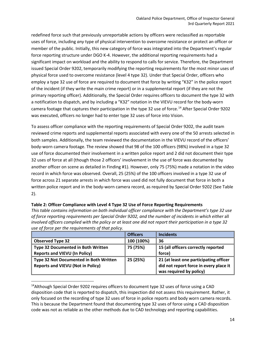redefined force such that previously unreportable actions by officers were reclassified as reportable uses of force, including *any* type of physical intervention to overcome resistance or protect an officer or member of the public. Initially, this new category of force was integrated into the Department's regular force reporting structure under DGO K-4. However, the additional reporting requirements had a significant impact on workload and the ability to respond to calls for service. Therefore, the Department issued Special Order 9202, temporarily modifying the reporting requirements for the most minor uses of physical force used to overcome resistance (level 4 type 32). Under that Special Order, officers who employ a type 32 use of force are required to document that force by writing "K32" in the police report of the incident (if they write the main crime report) or in a supplemental report (if they are not the primary reporting officer). Additionally, the Special Order requires officers to document the type 32 with a notification to dispatch, and by including a "K32" notation in the VIEVU record for the body-worn camera footage that captures their participation in the type 32 use of force.<sup>[14](#page-14-0)</sup> After Special Order 9202 was executed, officers no longer had to enter type 32 uses of force into Vision.

To assess officer compliance with the reporting requirements of Special Order 9202, the audit team reviewed crime reports and supplemental reports associated with every one of the 50 arrests selected in both samples. Additionally, the team reviewed the documentation in the VIEVU record of the officers' body-worn camera footage. The review showed that 98 of the 100 officers (98%) involved in a type 32 use of force documented their involvement in a written police report and 2 did not document their type 32 uses of force at all (though those 2 officers' involvement in the use of force was documented by another officer on scene as detailed in Finding #1). However, only 75 (75%) made a notation in the video record in which force was observed. Overall, 25 (25%) of the 100 officers involved in a type 32 use of force across 21 separate arrests in which force was used did not fully document that force in both a written police report and in the body-worn camera record, as required by Special Order 9202 (See Table 2).

| use of force per the requirements of that policy. |                 |                                                                   |
|---------------------------------------------------|-----------------|-------------------------------------------------------------------|
|                                                   | <b>Officers</b> | <b>Incidents</b>                                                  |
| <b>Observed Type 32</b>                           | 100 (100%)      | 36                                                                |
| <b>Type 32 Documented in Both Written</b>         | 75 (75%)        | 15 (all officers correctly reported                               |
| <b>Reports and VIEVU (In Policy)</b>              |                 | force)                                                            |
| Type 32 Not Documented in Both Written            | 25 (25%)        | 21 (at least one participating officer                            |
| <b>Reports and VIEVU (Not in Policy)</b>          |                 | did not report force in every place it<br>was required by policy) |

*This table contains information on both individual officer compliance with the Department's type 32 use of force reporting requirements per Special Order 9202, and the number of incidents in which either* all *involved officers complied with the policy or at least one did not report their participation in a type 32* 

### **Table 2: Officer Compliance with Level 4 Type 32 Use of Force Reporting Requirements**

<span id="page-14-0"></span><sup>14</sup> Although Special Order 9202 requires officers to document type 32 uses of force using a CAD disposition code that is reported to dispatch, this inspection did not assess this requirement. Rather, it only focused on the recording of type 32 uses of force in police reports and body worn camera records. This is because the Department found that documenting type 32 uses of force using a CAD disposition code was not as reliable as the other methods due to CAD technology and reporting capabilities.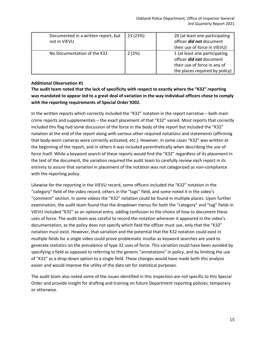| Documented in a written report, but<br>not in VIEVU | 23 (23%) | 20 (at least one participating<br>officer <b>did not</b> document<br>their use of force in VIEVU)                                  |
|-----------------------------------------------------|----------|------------------------------------------------------------------------------------------------------------------------------------|
| No Documentation of the K32                         | 2(2%)    | 1 (at least one participating<br>officer <i>did not</i> document<br>their use of force in any of<br>the places required by policy) |

#### **Additional Observation #1**

**The audit team noted that the lack of specificity with respect to exactly where the "K32" reporting was mandated to appear led to a great deal of variation in the way individual officers chose to comply with the reporting requirements of Special Order 9202.** 

In the written reports which correctly included the "K32" notation in the report narrative – both main crime reports and supplementals – the exact placement of that "K32" varied. Most reports that correctly included this flag had some discussion of the force in the body of the report but included the "K32" notation at the end of the report along with various other required notations and statements (affirming that body-worn cameras were correctly activated, etc.). However, in some cases "K32" was written at the beginning of the report, and in others it was included parenthetically when describing the use of force itself. While a keyword search of these reports would find the "K32" regardless of its placement in the text of the document, the variation required the audit team to carefully review each report in its entirety to assure that variation in placement of the notation was not categorized as non-compliance with the reporting policy.

Likewise for the reporting in the VIEVU record, some officers included the "K32" notation in the "category" field of the video record, others in the "tags" field, and some noted it in the video's "comment" section. In some videos the "K32" notation could be found in multiple places. Upon further examination, the audit team found that the dropdown menus for both the "category" and "tag" fields in VIEVU included "K32" as an optional entry, adding confusion to the choice of how to document these uses of force. The audit team was careful to record the notation wherever it appeared in the video's documentation, as the policy does not specify which field the officer must use, only that the "K32" notation must exist. However, that variation and the potential that the K32 notation could exist in multiple fields for a single video could prove problematic insofar as keyword searches are used to generate statistics on the prevalence of type 32 uses of force. This variation could have been avoided by specifying a field as opposed to referring to the generic "annotations" in policy, and by limiting the use of "K32" as a drop-down option to a single field. These changes would have made both this analysis easier and would improve the utility of the data set for statistical purposes.

The audit team also noted some of the issues identified in this inspection are not specific to this Special Order and provide insight for drafting and training on future Department reporting policies, temporary or otherwise.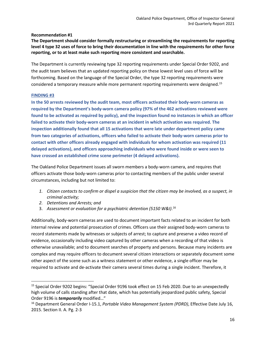### **Recommendation #1**

**The Department should consider formally restructuring or streamlining the requirements for reporting level 4 type 32 uses of force to bring their documentation in line with the requirements for other force reporting, or to at least make such reporting more consistent and searchable.**

The Department is currently reviewing type 32 reporting requirements under Special Order 9202, and the audit team believes that an updated reporting policy on these lowest level uses of force will be forthcoming. Based on the language of the Special Order, the type 32 reporting requirements were considered a temporary measure while more permanent reporting requirements were designed.<sup>[15](#page-16-0)</sup>

### **FINDING #3**

**In the 50 arrests reviewed by the audit team, most officers activated their body-worn cameras as required by the Department's body-worn camera policy (97% of the 462 activations reviewed were found to be activated as required by policy), and the inspection found no instances in which an officer failed to activate their body-worn cameras at an incident in which activation was required. The inspection additionally found that all 15 activations that were late under department policy came from two categories of activations, officers who failed to activate their body-worn cameras prior to contact with other officers already engaged with individuals for whom activation was required (11 delayed activations), and officers approaching individuals who were found inside or were seen to have crossed an established crime scene perimeter (4 delayed activations).**

The Oakland Police Department issues all sworn members a body-worn camera, and requires that officers activate those body-worn cameras prior to contacting members of the public under several circumstances, including but not limited to:

- *1. Citizen contacts to confirm or dispel a suspicion that the citizen may be involved, as a suspect, in criminal activity;*
- *2. Detentions and Arrests; and*
- 3. *Assessment or evaluation for a psychiatric detention (5150 W&I)*. [16](#page-16-1)

Additionally, body-worn cameras are used to document important facts related to an incident for both internal review and potential prosecution of crimes. Officers use their assigned body-worn cameras to record statements made by witnesses or subjects of arrest; to capture and preserve a video record of evidence, occasionally including video captured by other cameras when a recording of that video is otherwise unavailable; and to document searches of property and persons. Because many incidents are complex and may require officers to document several citizen interactions or separately document some other aspect of the scene such as a witness statement or other evidence, a single officer may be required to activate and de-activate their camera several times during a single incident. Therefore, it

<span id="page-16-0"></span><sup>&</sup>lt;sup>15</sup> Special Order 9202 begins: "Special Order 9196 took effect on 15 Feb 2020. Due to an unexpectedly high volume of calls standing after that date, which has potentially jeopardized public safety, Special Order 9196 is *temporarily* modified…"

<span id="page-16-1"></span><sup>16</sup> Department General Order I-15.1, *Portable Video Management System (PDRD)*, Effective Date July 16, 2015. Section II. A. Pg. 2-3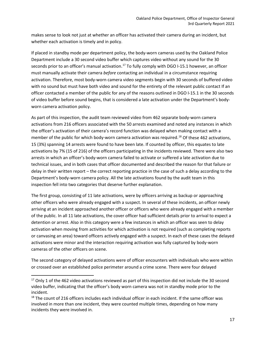makes sense to look not just at whether an officer has activated their camera during an incident, but whether each activation is timely and in policy.

If placed in standby mode per department policy, the body-worn cameras used by the Oakland Police Department include a 30 second video buffer which captures video without any sound for the 30 seconds prior to an officer's manual activation.<sup>[17](#page-17-0)</sup> To fully comply with DGO I-15.1 however, an officer must manually activate their camera *before* contacting an individual in a circumstance requiring activation. Therefore, most body-worn camera video segments begin with 30 seconds of buffered video with no sound but must have both video and sound for the entirety of the relevant public contact If an officer contacted a member of the public for any of the reasons outlined in DGO I-15.1 in the 30 seconds of video buffer before sound begins, that is considered a late activation under the Department's bodyworn camera activation policy.

As part of this inspection, the audit team reviewed video from 462 separate body-worn camera activations from 216 officers associated with the 50 arrests examined and noted any instances in which the officer's activation of their camera's record function was delayed when making contact with a member of the public for which body-worn camera activation was required.<sup>[18](#page-17-1)</sup> Of these 462 activations, 15 (3%) spanning 14 arrests were found to have been late. If counted by officer, this equates to late activations by 7% (15 of 216) of the officers participating in the incidents reviewed. There were also two arrests in which an officer's body-worn camera failed to activate or suffered a late activation due to technical issues, and in both cases that officer documented and described the reason for that failure or delay in their written report – the correct reporting practice in the case of such a delay according to the Department's body-worn camera policy. All the late activations found by the audit team in this inspection fell into two categories that deserve further explanation.

The first group, consisting of 11 late activations, were by officers arriving as backup or approaching other officers who were already engaged with a suspect. In several of these incidents, an officer newly arriving at an incident approached another officer or officers who were already engaged with a member of the public. In all 11 late activations, the cover officer had sufficient details prior to arrival to expect a detention or arrest. Also in this category were a few instances in which an officer was seen to delay activation when moving from activities for which activation is not required (such as completing reports or canvasing an area) toward officers actively engaged with a suspect. In each of these cases the delayed activations were minor and the interaction requiring activation was fully captured by body-worn cameras of the other officers on scene.

The second category of delayed activations were of officer encounters with individuals who were within or crossed over an established police perimeter around a crime scene. There were four delayed

<span id="page-17-0"></span><sup>&</sup>lt;sup>17</sup> Only 1 of the 462 video activations reviewed as part of this inspection did not include the 30 second video buffer, indicating that the officer's body worn camera was not in standby mode prior to the incident.

<span id="page-17-1"></span><sup>&</sup>lt;sup>18</sup> The count of 216 officers includes each individual officer in each incident. If the same officer was involved in more than one incident, they were counted multiple times, depending on how many incidents they were involved in.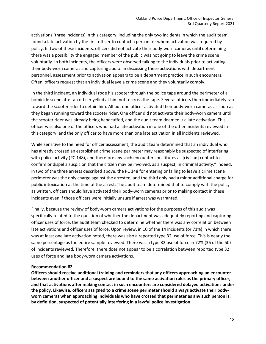activations (three incidents) in this category, including the only two incidents in which the audit team found a late activation by the first officer to contact a person for whom activation was required by policy. In two of these incidents, officers did not activate their body-worn cameras until determining there was a possibility the engaged member of the public was not going to leave the crime scene voluntarily. In both incidents, the officers were observed talking to the individuals prior to activating their body-worn cameras and capturing audio. In discussing these activations with department personnel, assessment prior to activation appears to be a department practice in such encounters. Often, officers request that an individual leave a crime scene and they voluntarily comply.

In the third incident, an individual rode his scooter through the police tape around the perimeter of a homicide scene after an officer yelled at him not to cross the tape. Several officers then immediately ran toward the scooter rider to detain him. All but one officer activated their body-worn cameras as soon as they began running toward the scooter rider. One officer did not activate their body-worn camera until the scooter rider was already being handcuffed, and the audit team deemed it a late activation. This officer was also one of the officers who had a late activation in one of the other incidents reviewed in this category, and the only officer to have more than one late activation in all incidents reviewed.

While sensitive to the need for officer assessment, the audit team determined that an individual who has already crossed an established crime scene perimeter may reasonably be suspected of interfering with police activity (PC 148), and therefore any such encounter constitutes a "[civilian] contact to confirm or dispel a suspicion that the citizen may be involved, as a suspect, in criminal activity." Indeed, in two of the three arrests described above, the PC 148 for entering or failing to leave a crime scene perimeter was the only charge against the arrestee, and the third only had a minor additional charge for public intoxication at the time of the arrest. The audit team determined that to comply with the policy as written, officers should have activated their body-worn cameras prior to making contact in these incidents even if those officers were initially unsure if arrest was warranted.

Finally, because the review of body-worn camera activations for the purposes of this audit was specifically related to the question of whether the department was adequately reporting and capturing officer uses of force, the audit team checked to determine whether there was any correlation between late activations and officer uses of force. Upon review, in 10 of the 14 incidents (or 71%) in which there was at least one late activation noted, there was also a reported type 32 use of force. This is nearly the same percentage as the entire sample reviewed. There was a type 32 use of force in 72% (36 of the 50) of incidents reviewed. Therefore, there does not appear to be a correlation between reported type 32 uses of force and late body-worn camera activations.

#### **Recommendation #2**

**Officers should receive additional training and reminders that any officers approaching an encounter between another officer and a suspect are bound to the same activation rules as the primary officer, and that activations after making contact in such encounters are considered delayed activations under the policy. Likewise, officers assigned to a crime scene perimeter should always activate their bodyworn cameras when approaching individuals who have crossed that perimeter as any such person is, by definition, suspected of potentially interfering in a lawful police investigation.**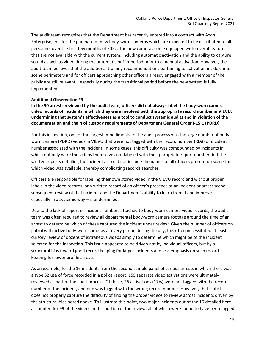The audit team recognizes that the Department has recently entered into a contract with Axon Enterprise, Inc. for the purchase of new body-worn cameras which are expected to be distributed to all personnel over the first few months of 2022. The new cameras come equipped with several features that are not available with the current system, including automatic activation and the ability to capture sound as well as video during the automatic buffer period prior to a manual activation. However, the audit team believes that the additional training recommendations pertaining to activation inside crime scene perimeters and for officers approaching other officers already engaged with a member of the public are still relevant – especially during the transitional period before the new system is fully implemented.

### **Additional Observation #3**

**In the 50 arrests reviewed by the audit team, officers did not always label the body-worn camera video records of incidents in which they were involved with the appropriate record number in VIEVU, undermining that system's effectiveness as a tool to conduct systemic audits and in violation of the documentation and chain of custody requirements of Department General Order I-15.1 (PDRD).**

For this inspection, one of the largest impediments to the audit process was the large number of bodyworn camera (PDRD) videos in VIEVU that were not tagged with the record number (RD#) or incident number associated with the incident. In some cases, this difficulty was compounded by incidents in which not only were the videos themselves not labeled with the appropriate report number, but the written reports detailing the incident also did not include the names of all officers present on scene for which video was available, thereby complicating records searches.

Officers are responsible for labeling their own stored video in the VIEVU record and without proper labels in the video records, or a written record of an officer's presence at an incident or arrest scene, subsequent review of that incident and the Department's ability to learn from it and improve – especially in a systemic way – is undermined.

Due to the lack of report or incident numbers attached to body-worn camera video records, the audit team was often required to review all departmental body-worn camera footage around the time of an arrest to determine which of these captured the incident under review. Given the number of officers on patrol with active body-worn cameras at every period during the day, this often necessitated at least cursory review of dozens of extraneous videos simply to determine which might be of the incident selected for the inspection. This issue appeared to be driven not by individual officers, but by a structural bias toward good record keeping for larger incidents and less emphasis on such recordkeeping for lower profile arrests.

As an example, for the 16 incidents from the second sample panel of serious arrests in which there was a type 32 use of force recorded in a police report, 155 separate video activations were ultimately reviewed as part of the audit process. Of these, 26 activations (17%) were not tagged with the record number of the incident, and one was tagged with the wrong record number. However, that statistic does not properly capture the difficulty of finding the proper videos to review across incidents driven by the structural bias noted above. To illustrate this point, two major incidents out of the 16 detailed here accounted for 99 of the videos in this portion of the review, all of which were found to have been tagged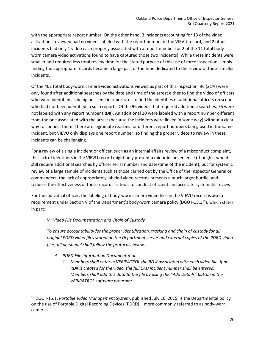with the appropriate report number. On the other hand, 3 incidents accounting for 13 of the video activations reviewed had no videos labeled with the report number in the VIEVU record, and 2 other incidents had only 1 video each properly associated with a report number (or 2 of the 11 total bodyworn camera video activations found to have captured those two incidents). While these incidents were smaller and required less total review time for the stated purpose of this use of force inspection, simply finding the appropriate records became a large part of the time dedicated to the review of these smaller incidents.

Of the 462 total body-worn camera video activations viewed as part of this inspection, 96 (21%) were only found after additional searches by the date and time of the arrest either to find the video of officers who were identified as being on scene in reports, or to find the identities of additional officers on scene who had not been identified in such reports. Of the 96 videos that required additional searches, 76 were not labeled with any report number (RD#). An additional 20 were labeled with a report number different from the one associated with the arrest (because the incidents were linked in some way) without a clear way to connect them. There are legitimate reasons for different report numbers being used in the same incident, but VIEVU only displays one report number, so finding the proper videos to review in these incidents can be challenging.

For a review of a single incident or officer, such as an internal affairs review of a misconduct complaint, this lack of identifiers in the VIEVU record might only present a minor inconvenience (though it would still require additional searches by officer serial number and date/time of the incident), but for systemic review of a large sample of incidents such as those carried out by the Office of the Inspector General or commanders, the lack of appropriately labeled video records presents a much larger hurdle, and reduces the effectiveness of these records as tools to conduct efficient and accurate systematic reviews.

For the individual officer, the labeling of body-worn camera video files in the VIEVU record is also a requirement under Section V of the Department's body-worn camera policy (DGO I-15.1<sup>[19](#page-20-0)</sup>), which states in part:

### *V. Video File Documentation and Chain of Custody*

*To ensure accountability for the proper identification, tracking and chain of custody for all original PDRD video files stored on the Department server and external copies of the PDRD video files, all personnel shall follow the protocols below.*

- *A. PDRD File Information Documentation*
	- *1. Members shall enter in VERIPATROL the RD # associated with each video file. If no RD# is created for the video, the full CAD incident number shall be entered. Members shall add this data to the file by using the "Add Details" button in the VERIPATROL software program:*

<span id="page-20-0"></span><sup>19</sup> DGO I-15.1, *Portable Video Management System*, published July 16, 2015, is the Departmental policy on the use of Portable Digital Recording Devices (PDRD) – more commonly referred to as body-worn cameras.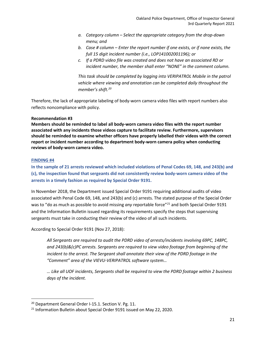- *a. Category column – Select the appropriate category from the drop-down menu; and*
- *b. Case # column – Enter the report number if one exists, or if none exists, the full 15 digit incident number (i.e., LOP141002001196); or*
- *c. If a PDRD video file was created and does not have an associated RD or incident number, the member shall enter "NONE" in the comment column.*

*This task should be completed by logging into VERIPATROL Mobile in the patrol vehicle where viewing and annotation can be completed daily throughout the member's shift.[20](#page-21-0)*

Therefore, the lack of appropriate labeling of body-worn camera video files with report numbers also reflects noncompliance with policy.

### **Recommendation #3**

**Members should be reminded to label all body-worn camera video files with the report number associated with any incidents those videos capture to facilitate review. Furthermore, supervisors should be reminded to examine whether officers have properly labelled their videos with the correct report or incident number according to department body-worn camera policy when conducting reviews of body-worn camera video.**

#### **FINDING #4**

**In the sample of 21 arrests reviewed which included violations of Penal Codes 69, 148, and 243(b) and (c), the inspection found that sergeants did not consistently review body-worn camera video of the arrests in a timely fashion as required by Special Order 9191.**

In November 2018, the Department issued Special Order 9191 requiring additional audits of video associated with Penal Code 69, 148, and 243(b) and (c) arrests. The stated purpose of the Special Order was to "do as much as possible to avoid missing *any* reportable force"<sup>[21](#page-21-1)</sup> and both Special Order 9191 and the Information Bulletin issued regarding its requirements specify the steps that supervising sergeants must take in conducting their review of the video of all such incidents.

According to Special Order 9191 (Nov 27, 2018):

*All Sergeants are required to audit the PDRD video of arrests/incidents involving 69PC, 148PC, and 243(b)&(c)PC arrests. Sergeants are required to view video footage from beginning of the incident to the arrest. The Sergeant shall annotate their view of the PDRD footage in the "Comment" area of the VIEVU-VERIPATROL software system…*

*… Like all UOF incidents, Sergeants shall be required to view the PDRD footage within 2 business days of the incident.*

<span id="page-21-0"></span><sup>&</sup>lt;sup>20</sup> Department General Order I-15.1. Section V. Pg. 11.

<span id="page-21-1"></span><sup>&</sup>lt;sup>21</sup> Information Bulletin about Special Order 9191 issued on May 22, 2020.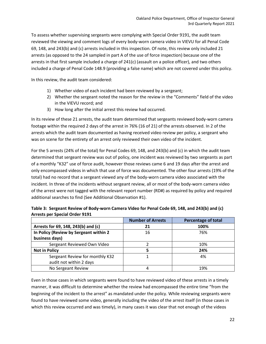To assess whether supervising sergeants were complying with Special Order 9191, the audit team reviewed the viewing and comment logs of every body-worn camera video in VIEVU for all Penal Code 69, 148, and 243(b) and (c) arrests included in this inspection. Of note, this review only included 21 arrests (as opposed to the 24 sampled in part A of the use of force inspection) because one of the arrests in that first sample included a charge of 241(c) (assault on a police officer), and two others included a charge of Penal Code 148.9 (providing a false name) which are not covered under this policy.

In this review, the audit team considered:

- 1) Whether video of each incident had been reviewed by a sergeant;
- 2) Whether the sergeant noted the reason for the review in the "Comments" field of the video in the VIEVU record; and
- 3) How long after the initial arrest this review had occurred.

In its review of these 21 arrests, the audit team determined that sergeants reviewed body-worn camera footage within the required 2 days of the arrest in 76% (16 of 21) of the arrests observed. In 2 of the arrests which the audit team documented as having received video review per policy, a sergeant who was on scene for the entirety of an arrest only reviewed their own video of the incident.

For the 5 arrests (24% of the total) for Penal Codes 69, 148, and 243(b) and (c) in which the audit team determined that sergeant review was out of policy, one incident was reviewed by two sergeants as part of a monthly "K32" use of force audit, however those reviews came 6 and 19 days after the arrest and only encompassed videos in which that use of force was documented. The other four arrests (19% of the total) had no record that a sergeant viewed any of the body-worn camera video associated with the incident. In three of the incidents without sergeant review, all or most of the body-worn camera video of the arrest were not tagged with the relevant report number (RD#) as required by policy and required additional searches to find (See Additional Observation #1).

|                                        | <b>Number of Arrests</b> | <b>Percentage of total</b> |
|----------------------------------------|--------------------------|----------------------------|
| Arrests for 69, 148, 243(b) and (c)    | 21                       | 100%                       |
| In Policy (Review by Sergeant within 2 | 16                       | 76%                        |
| business days)                         |                          |                            |
| Sergeant Reviewed Own Video            |                          | 10%                        |
| <b>Not in Policy</b>                   | 5                        | 24%                        |
| Sergeant Review for monthly K32        |                          | 4%                         |
| audit not within 2 days                |                          |                            |
| No Sergeant Review                     | 4                        | 19%                        |

| Table 3: Sergeant Review of Body-worn Camera Video for Penal Code 69, 148, and 243(b) and (c) |  |
|-----------------------------------------------------------------------------------------------|--|
| Arrests per Special Order 9191                                                                |  |

Even in those cases in which sergeants were found to have reviewed video of these arrests in a timely manner, it was difficult to determine whether the review had encompassed the entire time "from the beginning of the incident to the arrest" as mandated under the policy. While reviewing sergeants were found to have reviewed some video, generally including the video of the arrest itself (in those cases in which this review occurred and was timely), in many cases it was clear that not enough of the videos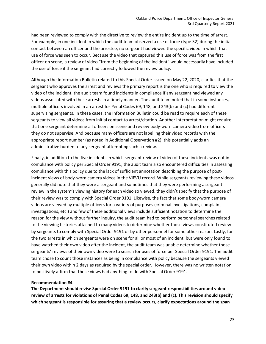had been reviewed to comply with the directive to review the entire incident up to the time of arrest. For example, in one incident in which the audit team observed a use of force (type 32) during the initial contact between an officer and the arrestee, no sergeant had viewed the specific video in which that use of force was seen to occur. Because the video that captured this use of force was from the first officer on scene, a review of video "from the beginning of the incident" would necessarily have included the use of force if the sergeant had correctly followed the review policy.

Although the Information Bulletin related to this Special Order issued on May 22, 2020, clarifies that the sergeant who approves the arrest and reviews the primary report is the one who is required to view the video of the incident, the audit team found incidents in compliance if any sergeant had viewed any videos associated with these arrests in a timely manner. The audit team noted that in some instances, multiple officers involved in an arrest for Penal Codes 69, 148, and 243(b) and (c) had different supervising sergeants. In these cases, the Information Bulletin could be read to require each of these sergeants to view all videos from initial contact to arrest/citation. Another interpretation might require that one sergeant determine all officers on scene and review body-worn camera video from officers they do not supervise. And because many officers are not labelling their video records with the appropriate report number (as noted in Additional Observation #2), this potentially adds an administrative burden to any sergeant attempting such a review.

Finally, in addition to the five incidents in which sergeant review of video of these incidents was not in compliance with policy per Special Order 9191, the audit team also encountered difficulties in assessing compliance with this policy due to the lack of sufficient annotation describing the purpose of postincident views of body-worn camera videos in the VIEVU record. While sergeants reviewing these videos generally did note that they were a sergeant and sometimes that they were performing a sergeant review in the system's viewing history for each video so viewed, they didn't specify that the purpose of their review was to comply with Special Order 9191. Likewise, the fact that some body-worn camera videos are viewed by multiple officers for a variety of purposes (criminal investigations, complaint investigations, etc.) and few of these additional views include sufficient notation to determine the reason for the view without further inquiry, the audit team had to perform personnel searches related to the viewing histories attached to many videos to determine whether those views constituted review by sergeants to comply with Special Order 9191 or by other personnel for some other reason. Lastly, for the two arrests in which sergeants were on scene for all or most of an incident, but were only found to have watched their own video after the incident, the audit team was unable determine whether those sergeants' reviews of their own video were to search for uses of force per Special Order 9191. The audit team chose to count those instances as being in compliance with policy because the sergeants viewed their own video within 2 days as required by the special order. However, there was no written notation to positively affirm that those views had anything to do with Special Order 9191.

#### **Recommendation #4**

**The Department should revise Special Order 9191 to clarify sergeant responsibilities around video review of arrests for violations of Penal Codes 69, 148, and 243(b) and (c). This revision should specify which sergeant is responsible for assuring that a review occurs, clarify expectations around the span**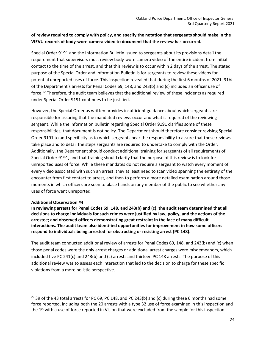### **of review required to comply with policy, and specify the notation that sergeants should make in the VIEVU records of body-worn camera video to document that the review has occurred.**

Special Order 9191 and the Information Bulletin issued to sergeants about its provisions detail the requirement that supervisors must review body-worn camera video of the entire incident from initial contact to the time of the arrest, and that this review is to occur within 2 days of the arrest. The stated purpose of the Special Order and Information Bulletin is for sergeants to review these videos for potential unreported uses of force. This inspection revealed that during the first 6 months of 2021, 91% of the Department's arrests for Penal Codes 69, 148, and 243(b) and (c) included an officer use of force[.22](#page-24-0) Therefore, the audit team believes that the additional review of these incidents as required under Special Order 9191 continues to be justified.

However, the Special Order as written provides insufficient guidance about which sergeants are responsible for assuring that the mandated reviews occur and what is required of the reviewing sergeant. While the information bulletin regarding Special Order 9191 clarifies some of these responsibilities, that document is not policy. The Department should therefore consider revising Special Order 9191 to add specificity as to which sergeants bear the responsibility to assure that these reviews take place and to detail the steps sergeants are required to undertake to comply with the Order. Additionally, the Department should conduct additional training for sergeants of all requirements of Special Order 9191, and that training should clarify that the purpose of this review is to look for unreported uses of force. While these mandates do not require a sergeant to watch every moment of every video associated with such an arrest, they at least need to scan video spanning the entirety of the encounter from first contact to arrest, and then to perform a more detailed examination around those moments in which officers are seen to place hands on any member of the public to see whether any uses of force went unreported.

#### **Additional Observation #4**

**In reviewing arrests for Penal Codes 69, 148, and 243(b) and (c), the audit team determined that all decisions to charge individuals for such crimes were justified by law, policy, and the actions of the arrestee; and observed officers demonstrating great restraint in the face of many difficult interactions. The audit team also identified opportunities for improvement in how some officers respond to individuals being arrested for obstructing or resisting arrest (PC 148).**

The audit team conducted additional review of arrests for Penal Codes 69, 148, and 243(b) and (c) when those penal codes were the only arrest charges or additional arrest charges were misdemeanors, which included five PC 241(c) and 243(b) and (c) arrests and thirteen PC 148 arrests. The purpose of this additional review was to assess each interaction that led to the decision to charge for these specific violations from a more holistic perspective.

<span id="page-24-0"></span><sup>&</sup>lt;sup>22</sup> 39 of the 43 total arrests for PC 69, PC 148, and PC 243(b) and (c) during these 6 months had some force reported, including both the 20 arrests with a type 32 use of force examined in this inspection and the 19 with a use of force reported in Vision that were excluded from the sample for this inspection.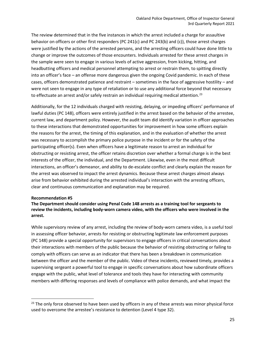The review determined that in the five instances in which the arrest included a charge for assaultive behavior on officers or other first responders (PC 241(c) and PC 243(b) and (c)), those arrest charges were justified by the actions of the arrested persons, and the arresting officers could have done little to change or improve the outcomes of those encounters. Individuals arrested for these arrest charges in the sample were seen to engage in various levels of active aggression, from kicking, hitting, and headbutting officers and medical personnel attempting to arrest or restrain them, to spitting directly into an officer's face – an offense more dangerous given the ongoing Covid pandemic. In each of these cases, officers demonstrated patience and restraint – sometimes in the face of aggressive hostility – and were not seen to engage in any type of retaliation or to use any additional force beyond that necessary to effectuate an arrest and/or safely restrain an individual requiring medical attention.<sup>[23](#page-25-0)</sup>

Additionally, for the 12 individuals charged with resisting, delaying, or impeding officers' performance of lawful duties (PC 148), officers were entirely justified in the arrest based on the behavior of the arrestee, current law, and department policy. However, the audit team did identify variation in officer approaches to these interactions that demonstrated opportunities for improvement in how some officers explain the reasons for the arrest, the timing of this explanation, and in the evaluation of whether the arrest was necessary to accomplish the primary police purpose in the incident or for the safety of the participating officer(s). Even when officers have a legitimate reason to arrest an individual for obstructing or resisting arrest, the officer retains discretion over whether a formal charge is in the best interests of the officer, the individual, and the Department. Likewise, even in the most difficult interactions, an officer's demeanor, and ability to de-escalate conflict and clearly explain the reason for the arrest was observed to impact the arrest dynamics. Because these arrest charges almost always arise from behavior exhibited during the arrested individual's interaction with the arresting officers, clear and continuous communication and explanation may be required.

#### **Recommendation #5**

### **The Department should consider using Penal Code 148 arrests as a training tool for sergeants to review the incidents, including body-worn camera video, with the officers who were involved in the arrest.**

While supervisory review of any arrest, including the review of body-worn camera video, is a useful tool in assessing officer behavior, arrests for resisting or obstructing legitimate law enforcement purposes (PC 148) provide a special opportunity for supervisors to engage officers in critical conversations about their interactions with members of the public because the behavior of resisting obstructing or failing to comply with officers can serve as an indicator that there has been a breakdown in communication between the officer and the member of the public. Video of these incidents, reviewed timely, provides a supervising sergeant a powerful tool to engage in specific conversations about how subordinate officers engage with the public, what level of tolerance and tools they have for interacting with community members with differing responses and levels of compliance with police demands, and what impact the

<span id="page-25-0"></span> $23$  The only force observed to have been used by officers in any of these arrests was minor physical force used to overcome the arrestee's resistance to detention (Level 4 type 32).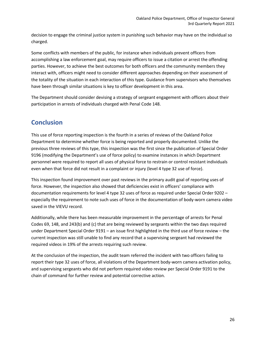decision to engage the criminal justice system in punishing such behavior may have on the individual so charged.

Some conflicts with members of the public, for instance when individuals prevent officers from accomplishing a law enforcement goal, may require officers to issue a citation or arrest the offending parties. However, to achieve the best outcomes for both officers and the community members they interact with, officers might need to consider different approaches depending on their assessment of the totality of the situation in each interaction of this type. Guidance from supervisors who themselves have been through similar situations is key to officer development in this area.

The Department should consider devising a strategy of sergeant engagement with officers about their participation in arrests of individuals charged with Penal Code 148.

### **Conclusion**

This use of force reporting inspection is the fourth in a series of reviews of the Oakland Police Department to determine whether force is being reported and properly documented. Unlike the previous three reviews of this type, this inspection was the first since the publication of Special Order 9196 (modifying the Department's use of force policy) to examine instances in which Department personnel were required to report all uses of physical force to restrain or control resistant individuals even when that force did not result in a complaint or injury (level 4 type 32 use of force).

This inspection found improvement over past reviews in the primary audit goal of reporting uses of force. However, the inspection also showed that deficiencies exist in officers' compliance with documentation requirements for level 4 type 32 uses of force as required under Special Order 9202 – especially the requirement to note such uses of force in the documentation of body-worn camera video saved in the VIEVU record.

Additionally, while there has been measurable improvement in the percentage of arrests for Penal Codes 69, 148, and 243(b) and (c) that are being reviewed by sergeants within the two days required under Department Special Order 9191 – an issue first highlighted in the third use of force review – the current inspection was still unable to find any record that a supervising sergeant had reviewed the required videos in 19% of the arrests requiring such review.

At the conclusion of the inspection, the audit team referred the incident with two officers failing to report their type 32 uses of force, all violations of the Department body-worn camera activation policy, and supervising sergeants who did not perform required video review per Special Order 9191 to the chain of command for further review and potential corrective action.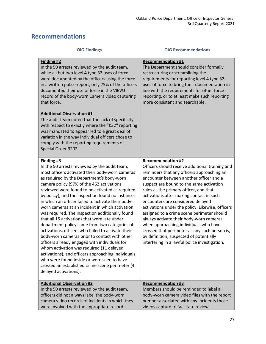### **Recommendations**

| <b>OIG Findings</b>                                                                                                                                                                                                                                                                                                                                                                                                                                                                                                                                                                                                                                                                                                                                                                                                                                                                                                                                               | <b>OIG Recommendations</b>                                                                                                                                                                                                                                                                                                                                                                                                                                                                                                                                                                                                                                                     |
|-------------------------------------------------------------------------------------------------------------------------------------------------------------------------------------------------------------------------------------------------------------------------------------------------------------------------------------------------------------------------------------------------------------------------------------------------------------------------------------------------------------------------------------------------------------------------------------------------------------------------------------------------------------------------------------------------------------------------------------------------------------------------------------------------------------------------------------------------------------------------------------------------------------------------------------------------------------------|--------------------------------------------------------------------------------------------------------------------------------------------------------------------------------------------------------------------------------------------------------------------------------------------------------------------------------------------------------------------------------------------------------------------------------------------------------------------------------------------------------------------------------------------------------------------------------------------------------------------------------------------------------------------------------|
| Finding #2<br>In the 50 arrests reviewed by the audit team,<br>while all but two level 4 type 32 uses of force<br>were documented by the officers using the force<br>in a written police report, only 75% of the officers<br>documented their use of force in the VIEVU<br>record of the body-worn Camera video capturing<br>that force.<br><b>Additional Observation #1</b><br>The audit team noted that the lack of specificity<br>with respect to exactly where the "K32" reporting<br>was mandated to appear led to a great deal of<br>variation in the way individual officers chose to<br>comply with the reporting requirements of<br>Special Order 9202.                                                                                                                                                                                                                                                                                                  | <b>Recommendation #1</b><br>The Department should consider formally<br>restructuring or streamlining the<br>requirements for reporting level 4 type 32<br>uses of force to bring their documentation in<br>line with the requirements for other force<br>reporting, or to at least make such reporting<br>more consistent and searchable.                                                                                                                                                                                                                                                                                                                                      |
| Finding #3<br>In the 50 arrests reviewed by the audit team,<br>most officers activated their body-worn cameras<br>as required by the Department's body-worn<br>camera policy (97% of the 462 activations<br>reviewed were found to be activated as required<br>by policy), and the inspection found no instances<br>in which an officer failed to activate their body-<br>worn cameras at an incident in which activation<br>was required. The inspection additionally found<br>that all 15 activations that were late under<br>department policy came from two categories of<br>activations, officers who failed to activate their<br>body-worn cameras prior to contact with other<br>officers already engaged with individuals for<br>whom activation was required (11 delayed<br>activations), and officers approaching individuals<br>who were found inside or were seen to have<br>crossed an established crime scene perimeter (4<br>delayed activations). | <b>Recommendation #2</b><br>Officers should receive additional training and<br>reminders that any officers approaching an<br>encounter between another officer and a<br>suspect are bound to the same activation<br>rules as the primary officer, and that<br>activations after making contact in such<br>encounters are considered delayed<br>activations under the policy. Likewise, officers<br>assigned to a crime scene perimeter should<br>always activate their body-worn cameras<br>when approaching individuals who have<br>crossed that perimeter as any such person is,<br>by definition, suspected of potentially<br>interfering in a lawful police investigation. |
| <b>Additional Observation #2</b><br>In the 50 arrests reviewed by the audit team,<br>officers did not always label the body-worn<br>camera video records of incidents in which they<br>were involved with the appropriate record                                                                                                                                                                                                                                                                                                                                                                                                                                                                                                                                                                                                                                                                                                                                  | <b>Recommendation #3</b><br>Members should be reminded to label all<br>body-worn camera video files with the report<br>number associated with any incidents those<br>videos capture to facilitate review.                                                                                                                                                                                                                                                                                                                                                                                                                                                                      |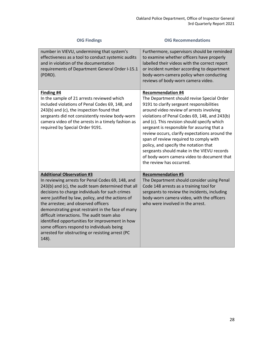| <b>OIG Findings</b>                                                                                                                                                                                                                                                                                                                                                                                                                                                                                                                                          | <b>OIG Recommendations</b>                                                                                                                                                                                                                                                                                                                                                                                                                                                                                                                                                  |
|--------------------------------------------------------------------------------------------------------------------------------------------------------------------------------------------------------------------------------------------------------------------------------------------------------------------------------------------------------------------------------------------------------------------------------------------------------------------------------------------------------------------------------------------------------------|-----------------------------------------------------------------------------------------------------------------------------------------------------------------------------------------------------------------------------------------------------------------------------------------------------------------------------------------------------------------------------------------------------------------------------------------------------------------------------------------------------------------------------------------------------------------------------|
| number in VIEVU, undermining that system's<br>effectiveness as a tool to conduct systemic audits<br>and in violation of the documentation<br>requirements of Department General Order I-15.1<br>(PDRD).                                                                                                                                                                                                                                                                                                                                                      | Furthermore, supervisors should be reminded<br>to examine whether officers have properly<br>labelled their videos with the correct report<br>or incident number according to department<br>body-worn-camera policy when conducting<br>reviews of body-worn camera video.                                                                                                                                                                                                                                                                                                    |
| Finding #4<br>In the sample of 21 arrests reviewed which<br>included violations of Penal Codes 69, 148, and<br>243(b) and (c), the inspection found that<br>sergeants did not consistently review body-worn<br>camera video of the arrests in a timely fashion as<br>required by Special Order 9191.                                                                                                                                                                                                                                                         | <b>Recommendation #4</b><br>The Department should revise Special Order<br>9191 to clarify sergeant responsibilities<br>around video review of arrests involving<br>violations of Penal Codes 69, 148, and 243(b)<br>and (c). This revision should specify which<br>sergeant is responsible for assuring that a<br>review occurs, clarify expectations around the<br>span of review required to comply with<br>policy, and specify the notation that<br>sergeants should make in the VIEVU records<br>of body-worn camera video to document that<br>the review has occurred. |
| <b>Additional Observation #3</b><br>In reviewing arrests for Penal Codes 69, 148, and<br>243(b) and (c), the audit team determined that all<br>decisions to charge individuals for such crimes<br>were justified by law, policy, and the actions of<br>the arrestee; and observed officers<br>demonstrating great restraint in the face of many<br>difficult interactions. The audit team also<br>identified opportunities for improvement in how<br>some officers respond to individuals being<br>arrested for obstructing or resisting arrest (PC<br>148). | <b>Recommendation #5</b><br>The Department should consider using Penal<br>Code 148 arrests as a training tool for<br>sergeants to review the incidents, including<br>body-worn camera video, with the officers<br>who were involved in the arrest.                                                                                                                                                                                                                                                                                                                          |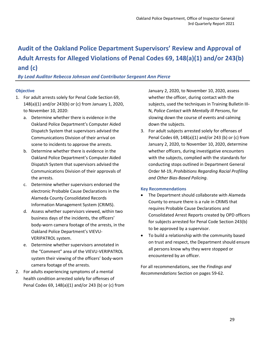## <span id="page-29-0"></span>**Audit of the Oakland Police Department Supervisors' Review and Approval of Adult Arrests for Alleged Violations of Penal Codes 69, 148(a)(1) and/or 243(b) and (c)**

### *By Lead Auditor Rebecca Johnson and Contributor Sergeant Ann Pierce*

### **Objective**

- 1. For adult arrests solely for Penal Code Section 69, 148(a)(1) and/or 243(b) or (c) from January 1, 2020, to November 10, 2020:
	- a. Determine whether there is evidence in the Oakland Police Department's Computer Aided Dispatch System that supervisors advised the Communications Division of their arrival on scene to incidents to approve the arrests.
	- b. Determine whether there is evidence in the Oakland Police Department's Computer Aided Dispatch System that supervisors advised the Communications Division of their approvals of the arrests.
	- c. Determine whether supervisors endorsed the electronic Probable Cause Declarations in the Alameda County Consolidated Records Information Management System (CRIMS).
	- d. Assess whether supervisors viewed, within two business days of the incidents, the officers' body-worn camera footage of the arrests, in the Oakland Police Department's VIEVU-VERIPATROL system.
	- e. Determine whether supervisors annotated in the "Comment" area of the VIEVU-VERIPATROL system their viewing of the officers' body-worn camera footage of the arrests.
- 2. For adults experiencing symptoms of a mental health condition arrested solely for offenses of Penal Codes 69, 148(a)(1) and/or 243 (b) or (c) from

January 2, 2020, to November 10, 2020, assess whether the officer, during contact with the subjects, used the techniques in Training Bulletin III-N, *Police Contact with Mentally Ill Persons*, for slowing down the course of events and calming down the subjects.

3. For adult subjects arrested solely for offenses of Penal Codes 69, 148(a)(1) and/or 243 (b) or (c) from January 2, 2020, to November 10, 2020, determine whether officers, during investigative encounters with the subjects, complied with the standards for conducting stops outlined in Department General Order M-19, *Prohibitions Regarding Racial Profiling and Other Bias-Based Policing*.

#### **Key Recommendations**

- The Department should collaborate with Alameda County to ensure there is a rule in CRIMS that requires Probable Cause Declarations and Consolidated Arrest Reports created by OPD officers for subjects arrested for Penal Code Section 243(b) to be approved by a supervisor.
- To build a relationship with the community based on trust and respect, the Department should ensure all persons know why they were stopped or encountered by an officer.

For all recommendations, see the *Findings and Recommendations* Section on pages 59-62.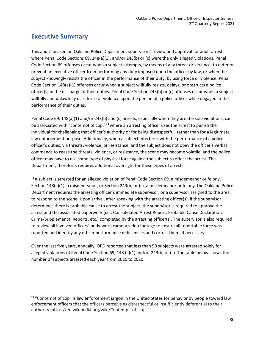### **Executive Summary**

This audit focused on Oakland Police Department supervisors' review and approval for adult arrests where Penal Code Sections 69, 148(a)(1), and/or 243(b) or (c) were the only alleged violations. Penal Code Section 69 offenses occur when a subject attempts, by means of any threat or violence, to deter or prevent an executive officer from performing any duty imposed upon the officer by law, or when the subject knowingly resists the officer in the performance of their duty, by using force or violence. Penal Code Section 148(a)(1) offenses occur when a subject willfully resists, delays, or obstructs a police officer(s) in the discharge of their duties. Penal Code Section 243(b) or (c) offenses occur when a subject willfully and unlawfully uses force or violence upon the person of a police officer while engaged in the performance of their duties.

Penal Code 69, 148(a)(1) and/or 243(b) and (c) arrests, especially when they are the sole violations, can be associated with "contempt of cop," $^{24}$  $^{24}$  $^{24}$  where an arresting officer uses the arrest to punish the individual for challenging that officer's authority or for being disrespectful, rather than for a legitimate law enforcement purpose. Additionally, when a subject interferes with the performance of a police officer's duties, via threats, violence, or resistance, and the subject does not obey the officer's verbal commands to cease the threats, violence, or resistance, the scene may become volatile, and the police officer may have to use some type of physical force against the subject to effect the arrest. The Department, therefore, requires additional oversight for these types of arrests.

If a subject is arrested for an alleged violation of Penal Code Section 69, a misdemeanor or felony, Section 148(a)(1), a misdemeanor, or Section 243(b) or (c), a misdemeanor or felony, the Oakland Police Department requires the arresting officer's immediate supervisor, or a supervisor assigned to the area, to respond to the scene. Upon arrival, after speaking with the arresting officer(s), if the supervisor determines there is probable cause to arrest the subject, the supervisor is required to approve the arrest and the associated paperwork (i.e., Consolidated Arrest Report, Probable Cause Declaration, Crime/Supplemental Reports, etc.) completed by the arresting officer(s). The supervisor is also required to review all involved officers' body-worn camera video footage to ensure all reportable force was reported and identify any officer performance deficiencies and correct them, if necessary.

Over the last five years, annually, OPD reported that less than 50 subjects were arrested solely for alleged violations of Penal Code Section 69, 148 (a)(1) and/or 243(b) or (c). The table below shows the number of subjects arrested each year from 2016 to 2020:

<span id="page-30-0"></span><sup>&</sup>lt;sup>24</sup> "Contempt of cop" is [law enforcement](https://en.wikipedia.org/wiki/Law_enforcement_agency) [jargon](https://en.wikipedia.org/wiki/Jargon) in the United States for behavior by people toward law [enforcement officers](https://en.wikipedia.org/wiki/Law_enforcement_officer) that the officers perceive as disrespectful or insufficiently deferential to their authority. https://en.wikipedia.org/wiki/Contempt\_of\_cop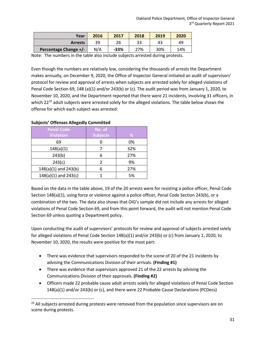| Year                  | 2016 | 2017   | 2018 | 2019 | 2020 |
|-----------------------|------|--------|------|------|------|
| <b>Arrests</b>        | 39   | 26     | 33   | 43   | 49   |
| Percentage Change +/- | N/A  | $-33%$ | 27%  | 30%  | 14%  |

Note: The numbers in the table also include subjects arrested during protests.

Even though the numbers are relatively low, considering the thousands of arrests the Department makes annually, on December 9, 2020, the Office of Inspector General initiated an audit of supervisors' protocol for review and approval of arrests when subjects are arrested solely for alleged violations of Penal Code Section 69, 148 (a)(1) and/or 243(b) or (c). The audit period was from January 1, 2020, to November 10, 2020, and the Department reported that there were 21 incidents, involving 31 officers, in which 22<sup>[25](#page-31-0)</sup> adult subjects were arrested solely for the alleged violations. The table below shows the offense for which each subject was arrested:

| .                        |                 |     |  |  |  |  |  |
|--------------------------|-----------------|-----|--|--|--|--|--|
| <b>Penal Code</b>        | No. of          |     |  |  |  |  |  |
| <b>Violation</b>         | <b>Subjects</b> | %   |  |  |  |  |  |
| 69                       |                 | 0%  |  |  |  |  |  |
| 148(a)(1)                |                 | 32% |  |  |  |  |  |
| 243(b)                   |                 | 27% |  |  |  |  |  |
| 243(c)                   |                 | 9%  |  |  |  |  |  |
| $148(a)(1)$ and $243(b)$ |                 | 27% |  |  |  |  |  |
| $148(a)(1)$ and $243(c)$ |                 | 5%  |  |  |  |  |  |

#### **Subjects' Offenses Allegedly Committed**

Based on the data in the table above, 19 of the 20 arrests were for resisting a police officer, Penal Code Section 148(a)(1), using force or violence against a police officer, Penal Code Section 243(b), or a combination of the two. The data also shows that OIG's sample did not include any arrests for alleged violations of Penal Code Section 69, and from this point forward, the audit will not mention Penal Code Section 69 unless quoting a Department policy.

Upon conducting the audit of supervisors' protocols for review and approval of subjects arrested solely for alleged violations of Penal Code Section 148(a)(1) and/or 243(b) or (c) from January 1, 2020, to November 10, 2020, the results were positive for the most part:

- There was evidence that supervisors responded to the scene of 20 of the 21 incidents by advising the Communications Division of their arrivals. **(Finding #1)**
- There was evidence that supervisors approved 21 of the 22 arrests by advising the Communications Division of their approvals. **(Finding #2)**
- Officers made 22 probable cause adult arrests solely for alleged violations of Penal Code Section 148(a)(1) and/or 243(b) or (c), and there were 22 Probable Cause Declarations (PCDecs)

<span id="page-31-0"></span> $25$  All subjects arrested during protests were removed from the population since supervisors are on scene during protests.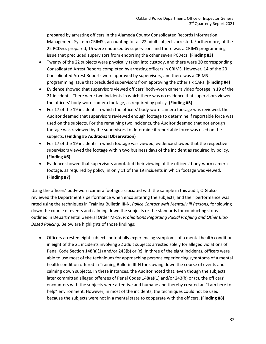prepared by arresting officers in the Alameda County Consolidated Records Information Management System (CRIMS), accounting for all 22 adult subjects arrested. Furthermore, of the 22 PCDecs prepared, 15 were endorsed by supervisors and there was a CRIMS programming issue that precluded supervisors from endorsing the other seven PCDecs. **(Finding #3)**

- Twenty of the 22 subjects were physically taken into custody, and there were 20 corresponding Consolidated Arrest Reports completed by arresting officers in CRIMS. However, 14 of the 20 Consolidated Arrest Reports were approved by supervisors, and there was a CRIMS programming issue that precluded supervisors from approving the other six CARs. **(Finding #4)**
- Evidence showed that supervisors viewed officers' body-worn camera video footage in 19 of the 21 incidents. There were two incidents in which there was no evidence that supervisors viewed the officers' body-worn camera footage, as required by policy. **(Finding #5)**
- For 17 of the 19 incidents in which the officers' body-worn camera footage was reviewed, the Auditor deemed that supervisors reviewed enough footage to determine if reportable force was used on the subjects. For the remaining two incidents, the Auditor deemed that not enough footage was reviewed by the supervisors to determine if reportable force was used on the subjects. **(Finding #5 Additional Observation)**
- For 17 of the 19 incidents in which footage was viewed, evidence showed that the respective supervisors viewed the footage within two business days of the incident as required by policy. **(Finding #6)**
- Evidence showed that supervisors annotated their viewing of the officers' body-worn camera footage, as required by policy, in only 11 of the 19 incidents in which footage was viewed. **(Finding #7)**

Using the officers' body-worn camera footage associated with the sample in this audit, OIG also reviewed the Department's performance when encountering the subjects, and their performance was rated using the techniques in Training Bulletin III-N, *Police Contact with Mentally Ill Persons*, for slowing down the course of events and calming down the subjects or the standards for conducting stops outlined in Departmental General Order M-19, *Prohibitions Regarding Racial Profiling and Other Bias-Based Policing.* Below are highlights of those findings:

• Officers arrested eight subjects potentially experiencing symptoms of a mental health condition in eight of the 21 incidents involving 22 adult subjects arrested solely for alleged violations of Penal Code Section 148(a)(1) and/or 243(b) or (c). In three of the eight incidents, officers were able to use most of the techniques for approaching persons experiencing symptoms of a mental health condition offered in Training Bulletin III-N for slowing down the course of events and calming down subjects. In these instances, the Auditor noted that, even though the subjects later committed alleged offenses of Penal Codes 148(a)(1) and/or 243(b) or (c), the officers' encounters with the subjects were attentive and humane and thereby created an "I am here to help" environment. However, in most of the incidents, the techniques could not be used because the subjects were not in a mental state to cooperate with the officers. **(Finding #8)**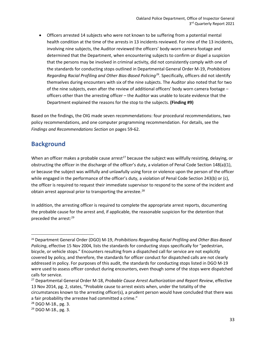• Officers arrested 14 subjects who were not known to be suffering from a potential mental health condition at the time of the arrests in 13 incidents reviewed. For nine of the 13 incidents, involving nine subjects, the Auditor reviewed the officers' body-worn camera footage and determined that the Department, when encountering subjects to confirm or dispel a suspicion that the persons may be involved in criminal activity, did not consistently comply with one of the standards for conducting stops outlined in Departmental General Order M-19, *Prohibitions Regarding Racial Profiling and Other Bias-Based Policing[26](#page-33-0)*. Specifically, officers did not identify themselves during encounters with six of the nine subjects. The Auditor also noted that for two of the nine subjects, even after the review of additional officers' body worn camera footage – officers other than the arresting officer – the Auditor was unable to locate evidence that the Department explained the reasons for the stop to the subjects. **(Finding #9)**

Based on the findings, the OIG made seven recommendations: four procedural recommendations, two policy recommendations, and one computer programming recommendation. For details, see the *Findings and Recommendations Section* on pages 59-62.

### **Background**

When an officer makes a probable cause arrest<sup>[27](#page-33-1)</sup> because the subject was willfully resisting, delaying, or obstructing the officer in the discharge of the officer's duty, a violation of Penal Code Section 148(a)(1), or because the subject was willfully and unlawfully using force or violence upon the person of the officer while engaged in the performance of the officer's duty, a violation of Penal Code Section 243(b) or (c), the officer is required to request their immediate supervisor to respond to the scene of the incident and obtain arrest approval prior to transporting the arrestee. $^{28}$  $^{28}$  $^{28}$ 

In addition, the arresting officer is required to complete the appropriate arrest reports, documenting the probable cause for the arrest and, if applicable, the reasonable suspicion for the detention that preceded the arrest: [29](#page-33-3)

<span id="page-33-0"></span><sup>26</sup> Department General Order (DGO) M-19, *Prohibitions Regarding Racial Profiling and Other Bias-Based Policing*, effective 15 Nov 2004, lists the standards for conducting stops specifically for "pedestrian, bicycle, or vehicle stops." Encounters resulting from a dispatched call for service are not explicitly covered by policy, and therefore, the standards for officer conduct for dispatched calls are not clearly addressed in policy. For purposes of this audit, the standards for conducting stops listed in DGO M-19 were used to assess officer conduct during encounters, even though some of the stops were dispatched calls for service.

<span id="page-33-1"></span><sup>27</sup> Departmental General Order M-18, *Probable Cause Arrest Authorization and Report Review*, effective 13 Nov 2014, pg. 2, states, "Probable cause to arrest exists when, under the totality of the circumstances known to the arresting officer(s), a prudent person would have concluded that there was a fair probability the arrestee had committed a crime."

<span id="page-33-2"></span><sup>28</sup> DGO M-18., pg. 3.

<span id="page-33-3"></span><sup>29</sup> DGO M-18., pg. 3.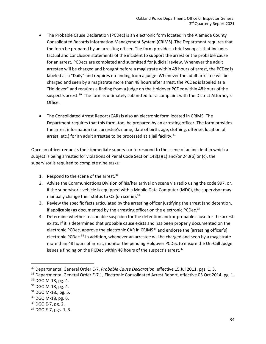- The Probable Cause Declaration (PCDec) is an electronic form located in the Alameda County Consolidated Records Information Management System (CRIMS). The Department requires that the form be prepared by an arresting officer. The form provides a brief synopsis that includes factual and conclusion statements of the incident to support the arrest or the probable cause for an arrest. PCDecs are completed and submitted for judicial review. Whenever the adult arrestee will be charged and brought before a magistrate within 48 hours of arrest, the PCDec is labeled as a "Daily" and requires no finding from a judge. Whenever the adult arrestee will be charged and seen by a magistrate more than 48 hours after arrest, the PCDec is labeled as a "Holdover" and requires a finding from a judge on the Holdover PCDec within 48 hours of the suspect's arrest.<sup>[30](#page-34-0)</sup> The form is ultimately submitted for a complaint with the District Attorney's Office.
- The Consolidated Arrest Report (CAR) is also an electronic form located in CRIMS. The Department requires that this form, too, be prepared by an arresting officer. The form provides the arrest information (i.e., arrestee's name, date of birth, age, clothing, offense, location of arrest, etc.) for an adult arrestee to be processed at a jail facility. $31$

Once an officer requests their immediate supervisor to respond to the scene of an incident in which a subject is being arrested for violations of Penal Code Section 148(a)(1) and/or 243(b) or (c), the supervisor is required to complete nine tasks:

- 1. Respond to the scene of the arrest. $32$
- 2. Advise the Communications Division of his/her arrival on scene via radio using the code 997, or, if the supervisor's vehicle is equipped with a Mobile Data Computer (MDC), the supervisor may manually change their status to OS (on scene). $33$
- 3. Review the specific facts articulated by the arresting officer justifying the arrest (and detention, if applicable) as documented by the arresting officer on the electronic PCDec.<sup>[34](#page-34-4)</sup>
- 4. Determine whether reasonable suspicion for the detention and/or probable cause for the arrest exists. If it is determined that probable cause exists and has been properly documented on the electronic PCDec, approve the electronic CAR in CRIMS<sup>[35](#page-34-5)</sup> and endorse the [arresting officer's] electronic PCDec.<sup>[36](#page-34-6)</sup> In addition, whenever an arrestee will be charged and seen by a magistrate more than 48 hours of arrest, monitor the pending Holdover PCDec to ensure the On-Call Judge issues a finding on the PCDec within 48 hours of the suspect's arrest.<sup>[37](#page-34-7)</sup>

<span id="page-34-0"></span><sup>30</sup> Departmental General Order E-7, *Probable Cause Declaration*, effective 15 Jul 2011, pgs. 1, 3.

<span id="page-34-1"></span><sup>&</sup>lt;sup>31</sup> Departmental General Order E-7.1, Electronic Consolidated Arrest Report, effective 03 Oct 2014, pg. 1.

<span id="page-34-2"></span><sup>32</sup> DGO M-18, pg. 4.

<span id="page-34-3"></span><sup>33</sup> DGO M-18, pg. 4.

<span id="page-34-4"></span><sup>34</sup> DGO M-18., pg. 5.

<span id="page-34-5"></span><sup>35</sup> DGO M-18, pg. 6.

<span id="page-34-6"></span><sup>36</sup> DGO E-7, pg. 2.

<span id="page-34-7"></span> $37$  DGO E-7, pgs. 1, 3.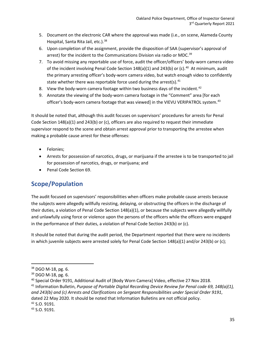- 5. Document on the electronic CAR where the approval was made (i.e., on scene, Alameda County Hospital, Santa Rita Jail, etc.).<sup>[38](#page-35-0)</sup>
- 6. Upon completion of the assignment, provide the disposition of SAA (supervisor's approval of arrest) for the incident to the Communications Division via radio or MDC.<sup>[39](#page-35-1)</sup>
- 7. To avoid missing any reportable use of force, audit the officer/officers' body-worn camera video of the incident involving Penal Code Section  $148(a)(1)$  and  $243(b)$  or (c).<sup>40</sup> At minimum, audit the primary arresting officer's body-worn camera video, but watch enough video to confidently state whether there was reportable force used during the arrest(s). $41$
- 8. View the body-worn camera footage within two business days of the incident.<sup>[42](#page-35-4)</sup>
- 9. Annotate the viewing of the body-worn camera footage in the "Comment" area [for each officer's body-worn camera footage that was viewed] in the VIEVU VERIPATROL system.<sup>[43](#page-35-5)</sup>

It should be noted that, although this audit focuses on supervisors' procedures for arrests for Penal Code Section 148(a)(1) and 243(b) or (c), officers are also required to request their immediate supervisor respond to the scene and obtain arrest approval prior to transporting the arrestee when making a probable cause arrest for these offenses:

- Felonies;
- Arrests for possession of narcotics, drugs, or marijuana if the arrestee is to be transported to jail for possession of narcotics, drugs, or marijuana; and
- Penal Code Section 69.

### **Scope/Population**

The audit focused on supervisors' responsibilities when officers make probable cause arrests because the subjects were allegedly willfully resisting, delaying, or obstructing the officers in the discharge of their duties, a violation of Penal Code Section 148(a)(1), or because the subjects were allegedly willfully and unlawfully using force or violence upon the persons of the officers while the officers were engaged in the performance of their duties, a violation of Penal Code Section 243(b) or (c).

It should be noted that during the audit period, the Department reported that there were no incidents in which juvenile subjects were arrested solely for Penal Code Section 148(a)(1) and/or 243(b) or (c);

<span id="page-35-4"></span><sup>42</sup> S.O. 9191.

<span id="page-35-0"></span><sup>38</sup> DGO M-18, pg. 6.

<span id="page-35-1"></span><sup>39</sup> DGO M-18, pg. 6.

<span id="page-35-3"></span><span id="page-35-2"></span><sup>40</sup> Special Order 9191, Additional Audit of [Body Worn Camera] Video, effective 27 Nov 2018. <sup>41</sup> Information Bulletin, *Purpose of Portable Digital Recording Device Review for Penal code 69, 148(a)(1), and 243(b) and (c) Arrests and Clarifications on Sergeant Responsibilities under Special Order 9191*, dated 22 May 2020. It should be noted that Information Bulletins are not official policy.

<span id="page-35-5"></span> $43$  S.O. 9191.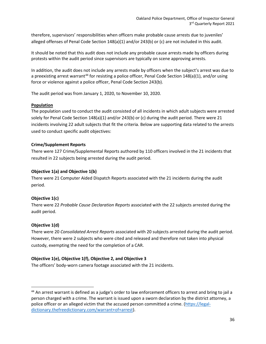therefore, supervisors' responsibilities when officers make probable cause arrests due to juveniles' alleged offenses of Penal Code Section 148(a)(1) and/or 243(b) or (c) are not included in this audit.

It should be noted that this audit does not include any probable cause arrests made by officers during protests within the audit period since supervisors are typically on scene approving arrests.

In addition, the audit does not include any arrests made by officers when the subject's arrest was due to a preexisting arrest warrant<sup>[44](#page-36-0)</sup> for resisting a police officer, Penal Code Section 148(a)(1), and/or using force or violence against a police officer, Penal Code Section 243(b).

The audit period was from January 1, 2020, to November 10, 2020.

### **Population**

The population used to conduct the audit consisted of all incidents in which adult subjects were arrested solely for Penal Code Section 148(a)(1) and/or 243(b) or (c) during the audit period. There were 21 incidents involving 22 adult subjects that fit the criteria. Below are supporting data related to the arrests used to conduct specific audit objectives:

### **Crime/Supplement Reports**

There were 127 Crime/Supplemental Reports authored by 110 officers involved in the 21 incidents that resulted in 22 subjects being arrested during the audit period.

### **Objective 1(a) and Objective 1(b)**

There were 21 Computer Aided Dispatch Reports associated with the 21 incidents during the audit period.

### **Objective 1(c)**

There were 22 *Probable Cause Declaration Reports* associated with the 22 subjects arrested during the audit period.

### **Objective 1(d)**

There were 20 *Consolidated Arrest Reports* associated with 20 subjects arrested during the audit period. However, there were 2 subjects who were cited and released and therefore not taken into physical custody, exempting the need for the completion of a CAR.

### **Objective 1(e), Objective 1(f), Objective 2, and Objective 3**

The officers' body-worn camera footage associated with the 21 incidents.

<span id="page-36-0"></span><sup>44</sup> An arrest warrant is defined as a judge's order to law enforcement officers to arrest and bring to jail a person charged with a crime. The warrant is issued upon a sworn declaration by the district attorney, a police officer or an alleged victim that the accused person committed a crime. [\(https://legal](https://legal-dictionary.thefreedictionary.com/warrant+of+arrest)[dictionary.thefreedictionary.com/warrant+of+arrest\)](https://legal-dictionary.thefreedictionary.com/warrant+of+arrest).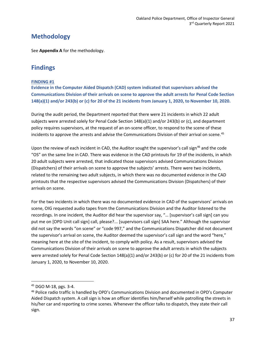### **Methodology**

See **Appendix A** for the methodology.

### **Findings**

### **FINDING #1**

**Evidence in the Computer Aided Dispatch (CAD) system indicated that supervisors advised the Communications Division of their arrivals on scene to approve the adult arrests for Penal Code Section 148(a)(1) and/or 243(b) or (c) for 20 of the 21 incidents from January 1, 2020, to November 10, 2020.** 

During the audit period, the Department reported that there were 21 incidents in which 22 adult subjects were arrested solely for Penal Code Section 148(a)(1) and/or 243(b) or (c), and department policy requires supervisors, at the request of an on-scene officer, to respond to the scene of these incidents to approve the arrests and advise the Communications Division of their arrival on scene.<sup>[45](#page-37-0)</sup>

Upon the review of each incident in CAD, the Auditor sought the supervisor's call sign<sup>[46](#page-37-1)</sup> and the code "OS" on the same line in CAD. There was evidence in the CAD printouts for 19 of the incidents, in which 20 adult subjects were arrested, that indicated those supervisors advised Communications Division (Dispatchers) of their arrivals on scene to approve the subjects' arrests. There were two incidents, related to the remaining two adult subjects, in which there was no documented evidence in the CAD printouts that the respective supervisors advised the Communications Division (Dispatchers) of their arrivals on scene.

For the two incidents in which there was no documented evidence in CAD of the supervisors' arrivals on scene, OIG requested audio tapes from the Communications Division and the Auditor listened to the recordings. In one incident, the Auditor did hear the supervisor say, "… [supervisor's call sign] can you put me on [OPD Unit call sign] call, please?... [supervisors call sign] SAA here." Although the supervisor did not say the words "on scene" or "code 997," and the Communications Dispatcher did not document the supervisor's arrival on scene, the Auditor deemed the supervisor's call sign and the word "here," meaning here at the site of the incident, to comply with policy. As a result, supervisors advised the Communications Division of their arrivals on scene to approve the adult arrests in which the subjects were arrested solely for Penal Code Section 148(a)(1) and/or 243(b) or (c) for 20 of the 21 incidents from January 1, 2020, to November 10, 2020.

<span id="page-37-0"></span><sup>45</sup> DGO M-18, pgs. 3-4.

<span id="page-37-1"></span><sup>46</sup> Police radio traffic is handled by OPD's Communications Division and documented in OPD's Computer Aided Dispatch system. A call sign is how an officer identifies him/herself while patrolling the streets in his/her car and reporting to crime scenes. Whenever the officer talks to dispatch, they state their call sign.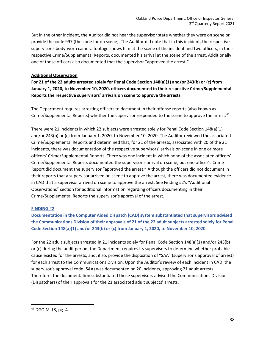But in the other incident, the Auditor did not hear the supervisor state whether they were on scene or provide the code 997 (the code for on scene). The Auditor did note that in this incident, the respective supervisor's body-worn camera footage shows him at the scene of the incident and two officers, in their respective Crime/Supplemental Reports, documented his arrival at the scene of the arrest. Additionally, one of those officers also documented that the supervisor "approved the arrest."

#### **Additional Observation**

**For 21 of the 22 adults arrested solely for Penal Code Section 148(a)(1) and/or 243(b) or (c) from January 1, 2020, to November 10, 2020, officers documented in their respective Crime/Supplemental Reports the respective supervisors' arrivals on scene to approve the arrests.** 

The Department requires arresting officers to document in their offense reports (also known as Crime/Supplemental Reports) whether the supervisor responded to the scene to approve the arrest.<sup>[47](#page-38-0)</sup>

There were 21 incidents in which 22 subjects were arrested solely for Penal Code Section 148(a)(1) and/or 243(b) or (c) from January 1, 2020, to November 10, 2020. The Auditor reviewed the associated Crime/Supplemental Reports and determined that, for 21 of the arrests, associated with 20 of the 21 incidents, there was documentation of the respective supervisors' arrivals on scene in one or more officers' Crime/Supplemental Reports. There was one incident in which none of the associated officers' Crime/Supplemental Reports documented the supervisor's arrival on scene, but one officer's Crime Report did document the supervisor "approved the arrest." Although the officers did not document in their reports that a supervisor arrived on scene to approve the arrest, there was documented evidence in CAD that a supervisor arrived on scene to approve the arrest. See Finding #2's "Additional Observations" section for additional information regarding officers documenting in their Crime/Supplemental Reports the supervisor's approval of the arrest.

### **FINDING #2**

**Documentation in the Computer Aided Dispatch (CAD) system substantiated that supervisors advised the Communications Division of their approvals of 21 of the 22 adult subjects arrested solely for Penal Code Section 148(a)(1) and/or 243(b) or (c) from January 1, 2020, to November 10, 2020.**

For the 22 adult subjects arrested in 21 incidents solely for Penal Code Section 148(a)(1) and/or 243(b) or (c) during the audit period, the Department requires its supervisors to determine whether probable cause existed for the arrests, and, if so, provide the disposition of "SAA" (supervisor's approval of arrest) for each arrest to the Communications Division. Upon the Auditor's review of each incident in CAD, the supervisor's approval code (SAA) was documented on 20 incidents, approving 21 adult arrests. Therefore, the documentation substantiated those supervisors advised the Communications Division (Dispatchers) of their approvals for the 21 associated adult subjects' arrests.

<span id="page-38-0"></span> $47$  DGO M-18, pg. 4.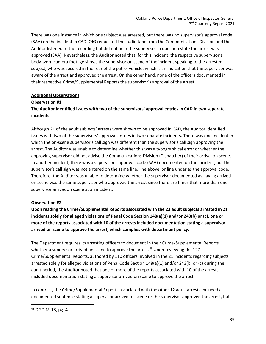There was one instance in which one subject was arrested, but there was no supervisor's approval code (SAA) on the incident in CAD. OIG requested the audio tape from the Communications Division and the Auditor listened to the recording but did not hear the supervisor in question state the arrest was approved (SAA). Nevertheless, the Auditor noted that, for this incident, the respective supervisor's body-worn camera footage shows the supervisor on scene of the incident speaking to the arrested subject, who was secured in the rear of the patrol vehicle, which is an indication that the supervisor was aware of the arrest and approved the arrest. On the other hand, none of the officers documented in their respective Crime/Supplemental Reports the supervisor's approval of the arrest.

### **Additional Observations**

#### **Observation #1**

### **The Auditor identified issues with two of the supervisors' approval entries in CAD in two separate incidents.**

Although 21 of the adult subjects' arrests were shown to be approved in CAD, the Auditor identified issues with two of the supervisors' approval entries in two separate incidents. There was one incident in which the on-scene supervisor's call sign was different than the supervisor's call sign approving the arrest. The Auditor was unable to determine whether this was a typographical error or whether the approving supervisor did not advise the Communications Division (Dispatcher) of their arrival on scene. In another incident, there was a supervisor's approval code (SAA) documented on the incident, but the supervisor's call sign was not entered on the same line, line above, or line under as the approval code. Therefore, the Auditor was unable to determine whether the supervisor documented as having arrived on scene was the same supervisor who approved the arrest since there are times that more than one supervisor arrives on scene at an incident.

### **Observation #2**

**Upon reading the Crime/Supplemental Reports associated with the 22 adult subjects arrested in 21 incidents solely for alleged violations of Penal Code Section 148(a)(1) and/or 243(b) or (c), one or more of the reports associated with 10 of the arrests included documentation stating a supervisor arrived on scene to approve the arrest, which complies with department policy.** 

The Department requires its arresting officers to document in their Crime/Supplemental Reports whether a supervisor arrived on scene to approve the arrest.<sup>[48](#page-39-0)</sup> Upon reviewing the 127 Crime/Supplemental Reports, authored by 110 officers involved in the 21 incidents regarding subjects arrested solely for alleged violations of Penal Code Section 148(a)(1) and/or 243(b) or (c) during the audit period, the Auditor noted that one or more of the reports associated with 10 of the arrests included documentation stating a supervisor arrived on scene to approve the arrest.

In contrast, the Crime/Supplemental Reports associated with the other 12 adult arrests included a documented sentence stating a supervisor arrived on scene or the supervisor approved the arrest, but

<span id="page-39-0"></span> $48$  DGO M-18, pg. 4.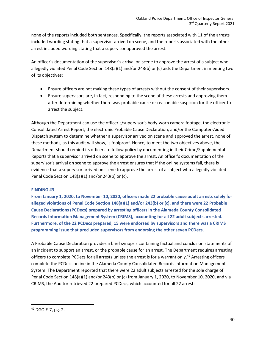none of the reports included both sentences. Specifically, the reports associated with 11 of the arrests included wording stating that a supervisor arrived on scene, and the reports associated with the other arrest included wording stating that a supervisor approved the arrest.

An officer's documentation of the supervisor's arrival on scene to approve the arrest of a subject who allegedly violated Penal Code Section 148(a)(1) and/or 243(b) or (c) aids the Department in meeting two of its objectives:

- Ensure officers are not making these types of arrests without the consent of their supervisors.
- Ensure supervisors are, in fact, responding to the scene of these arrests and approving them after determining whether there was probable cause or reasonable suspicion for the officer to arrest the subject.

Although the Department can use the officer's/supervisor's body-worn camera footage, the electronic Consolidated Arrest Report, the electronic Probable Cause Declaration, and/or the Computer-Aided Dispatch system to determine whether a supervisor arrived on scene and approved the arrest, none of these methods, as this audit will show, is foolproof. Hence, to meet the two objectives above, the Department should remind its officers to follow policy by documenting in their Crime/Supplemental Reports that a supervisor arrived on scene to approve the arrest. An officer's documentation of the supervisor's arrival on scene to approve the arrest ensures that if the online systems fail, there is evidence that a supervisor arrived on scene to approve the arrest of a subject who allegedly violated Penal Code Section 148(a)(1) and/or 243(b) or (c).

### **FINDING #3**

**From January 1, 2020, to November 10, 2020, officers made 22 probable cause adult arrests solely for alleged violations of Penal Code Section 148(a)(1) and/or 243(b) or (c), and there were 22 Probable Cause Declarations (PCDecs) prepared by arresting officers in the Alameda County Consolidated Records Information Management System (CRIMS), accounting for all 22 adult subjects arrested. Furthermore, of the 22 PCDecs prepared, 15 were endorsed by supervisors and there was a CRIMS programming issue that precluded supervisors from endorsing the other seven PCDecs.**

A Probable Cause Declaration provides a brief synopsis containing factual and conclusion statements of an incident to support an arrest, or the probable cause for an arrest. The Department requires arresting officers to complete PCDecs for all arrests unless the arrest is for a warrant only.<sup>[49](#page-40-0)</sup> Arresting officers complete the PCDecs online in the Alameda County Consolidated Records Information Management System. The Department reported that there were 22 adult subjects arrested for the sole charge of Penal Code Section 148(a)(1) and/or 243(b) or (c) from January 1, 2020, to November 10, 2020, and via CRIMS, the Auditor retrieved 22 prepared PCDecs, which accounted for all 22 arrests.

<span id="page-40-0"></span> $49$  DGO E-7, pg. 2.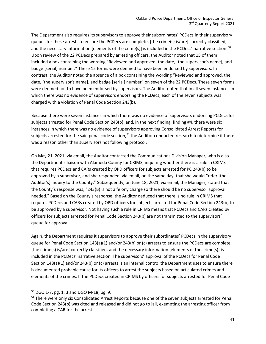The Department also requires its supervisors to approve their subordinates' PCDecs in their supervisory queues for these arrests to ensure the PCDecs are complete, [the crime(s) is/are] correctly classified, and the necessary information [elements of the crime(s)] is included in the PCDecs' narrative section.<sup>[50](#page-41-0)</sup> Upon review of the 22 PCDecs prepared by arresting officers, the Auditor noted that 15 of them included a box containing the wording "Reviewed and approved, the date, [the supervisor's name], and badge [serial] number." These 15 forms were deemed to have been endorsed by supervisors. In contrast, the Auditor noted the absence of a box containing the wording "Reviewed and approved, the date, [the supervisor's name], and badge [serial] number" on seven of the 22 PCDecs. These seven forms were deemed not to have been endorsed by supervisors. The Auditor noted that in all seven instances in which there was no evidence of supervisors endorsing the PCDecs, each of the seven subjects was charged with a violation of Penal Code Section 243(b).

Because there were seven instances in which there was no evidence of supervisors endorsing PCDecs for subjects arrested for Penal Code Section 243(b), and, in the next finding, finding #4, there were six instances in which there was no evidence of supervisors approving Consolidated Arrest Reports for subjects arrested for the said penal code section,<sup>[51](#page-41-1)</sup> the Auditor conducted research to determine if there was a reason other than supervisors not following protocol.

On May 21, 2021, via email, the Auditor contacted the Communications Division Manager, who is also the Department's liaison with Alameda County for CRIMS, inquiring whether there is a rule in CRIMS that requires PCDecs and CARs created by OPD officers for subjects arrested for PC 243(b) to be approved by a supervisor, and she responded, via email, on the same day, that she would "refer [the Auditor's] inquiry to the County." Subsequently, on June 18, 2021, via email, the Manager, stated that the County's response was, "243(B) is not a felony charge so there should be no supervisor approval needed." Based on the County's response, the Auditor deduced that there is no rule in CRIMS that requires PCDecs and CARs created by OPD officers for subjects arrested for Penal Code Section 243(b) to be approved by a supervisor. Not having such a rule in CRIMS means that PCDecs and CARs created by officers for subjects arrested for Penal Code Section 243(b) are not transmitted to the supervisors' queue for approval.

Again, the Department requires it supervisors to approve their subordinates' PCDecs in the supervisory queue for Penal Code Section 148(a)(1) and/or 243(b) or (c) arrests to ensure the PCDecs are complete, [the crime(s) is/are] correctly classified, and the necessary information [elements of the crime(s)] is included in the PCDecs' narrative section. The supervisors' approval of the PCDecs for Penal Code Section 148(a)(1) and/or 243(b) or (c) arrests is an internal control the Department uses to ensure there is documented probable cause for its officers to arrest the subjects based on articulated crimes and elements of the crimes. If the PCDecs created in CRIMS by officers for subjects arrested for Penal Code

<span id="page-41-0"></span><sup>50</sup> DGO E-7, pg. 1, 3 and DGO M-18, pg. 9.

<span id="page-41-1"></span><sup>&</sup>lt;sup>51</sup> There were only six Consolidated Arrest Reports because one of the seven subjects arrested for Penal Code Section 243(b) was cited and released and did not go to jail, exempting the arresting officer from completing a CAR for the arrest.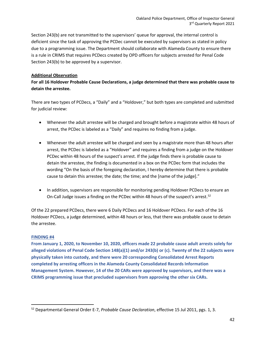Section 243(b) are not transmitted to the supervisors' queue for approval, the internal control is deficient since the task of approving the PCDec cannot be executed by supervisors as stated in policy due to a programming issue. The Department should collaborate with Alameda County to ensure there is a rule in CRIMS that requires PCDecs created by OPD officers for subjects arrested for Penal Code Section 243(b) to be approved by a supervisor.

### **Additional Observation**

**For all 16 Holdover Probable Cause Declarations, a judge determined that there was probable cause to detain the arrestee.**

There are two types of PCDecs, a "Daily" and a "Holdover," but both types are completed and submitted for judicial review:

- Whenever the adult arrestee will be charged and brought before a magistrate within 48 hours of arrest, the PCDec is labeled as a "Daily" and requires no finding from a judge.
- Whenever the adult arrestee will be charged and seen by a magistrate more than 48 hours after arrest, the PCDec is labeled as a "Holdover" and requires a finding from a judge on the Holdover PCDec within 48 hours of the suspect's arrest. If the judge finds there is probable cause to detain the arrestee, the finding is documented in a box on the PCDec form that includes the wording "On the basis of the foregoing declaration, I hereby determine that there is probable cause to detain this arrestee; the date; the time; and the [name of the judge]."
- In addition, supervisors are responsible for monitoring pending Holdover PCDecs to ensure an On-Call Judge issues a finding on the PCDec within 48 hours of the suspect's arrest.<sup>52</sup>

Of the 22 prepared PCDecs, there were 6 Daily PCDecs and 16 Holdover PCDecs. For each of the 16 Holdover PCDecs, a judge determined, within 48 hours or less, that there was probable cause to detain the arrestee.

### **FINDING #4**

**From January 1, 2020, to November 10, 2020, officers made 22 probable cause adult arrests solely for alleged violations of Penal Code Section 148(a)(1) and/or 243(b) or (c). Twenty of the 22 subjects were physically taken into custody, and there were 20 corresponding Consolidated Arrest Reports completed by arresting officers in the Alameda County Consolidated Records Information Management System. However, 14 of the 20 CARs were approved by supervisors, and there was a CRIMS programming issue that precluded supervisors from approving the other six CARs.**

<span id="page-42-0"></span><sup>52</sup> Departmental General Order E-7, *Probable Cause Declaration*, effective 15 Jul 2011, pgs. 1, 3.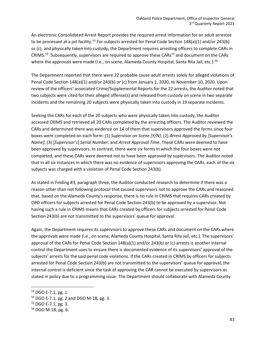An electronic Consolidated Arrest Report provides the required arrest information for an adult arrestee to be processed at a jail facility.<sup>[53](#page-43-0)</sup> For subjects arrested for Penal Code Section 148(a)(1) and/or 243(b) or (c), and physically taken into custody, the Department requires arresting officers to complete CARs in CRIMS.<sup>[54](#page-43-1)</sup> Subsequently, supervisors are required to approve these CARs<sup>[55](#page-43-2)</sup> and document on the CARs where the approvals were made (i.e., on scene, Alameda County Hospital, Santa Rita Jail, etc.).<sup>[56](#page-43-3)</sup>

The Department reported that there were 22 probable cause adult arrests solely for alleged violations of Penal Code Section 148(a)(1) and/or 243(b) or (c) from January 1, 2020, to November 10, 2020. Upon review of the officers' associated Crime/Supplemental Reports for the 22 arrests, the Auditor noted that two subjects were cited for their alleged offense(s) and released from custody on scene in two separate incidents and the remaining 20 subjects were physically taken into custody in 19 separate incidents.

Seeking the CARs for each of the 20 subjects who were physically taken into custody, the Auditor accessed CRIMS and retrieved all 20 CARs completed by the arresting officers. The Auditor reviewed the CARs and determined there was evidence on 14 of them that supervisors approved the forms since four boxes were completed on each form: (1) *Supervisor on Scene [Y/N]*; (2) *Arrest Approved by [Supervisor's Name]*; (3) [*Supervisor's*] *Serial Number*; and *Arrest Approval Time*. These CARs were deemed to have been approved by supervisors. In contrast, there were six forms in which the four boxes were not completed, and these CARs were deemed not to have been approved by supervisors. The Auditor noted that in all six instances in which there was no evidence of supervisors approving the CARs, each of the six subjects was charged with a violation of Penal Code Section 243(b).

As stated in Finding #3, paragraph three, the Auditor conducted research to determine if there was a reason other than not following protocol that caused supervisors not to approve the CARs and reasoned that, based on the Alameda County's response, there is no rule in CRIMS that requires CARs created by OPD officers for subjects arrested for Penal Code Section 243(b) to be approved by a supervisor. Not having such a rule in CRIMS means that CARs created by officers for subjects arrested for Penal Code Section 243(b) are not transmitted to the supervisors' queue for approval.

Again, the Department requires its supervisors to approve these CARs and document on the CARs where the approvals were made (i.e., on scene, Alameda County Hospital, Santa Rita Jail, etc.). The supervisors' approval of the CARs for Penal Code Section 148(a)(1) and/or 243(b) or (c) arrests is another internal control the Department uses to ensure there is documented evidence of its supervisors' approval of the subjects' arrests for the said penal code violations. If the CARs created in CRIMS by officers for subjects arrested for Penal Code Section 243(b) are not transmitted to the supervisors' queue for approval, the internal control is deficient since the task of approving the CAR cannot be executed by supervisors as stated in policy due to a programming issue. The Department should collaborate with Alameda County

<span id="page-43-0"></span><sup>53</sup> DGO E-7.1, pg. 1.

<span id="page-43-1"></span><sup>54</sup> DGO E-7.1, pg. 2 and DGO M-18, pg. 3.

<span id="page-43-2"></span><sup>55</sup> DGO E-7.1, pg. 3.

<span id="page-43-3"></span><sup>56</sup> DGO M-18, pg. 6.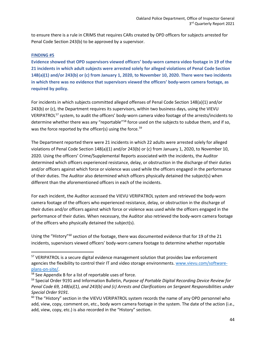to ensure there is a rule in CRIMS that requires CARs created by OPD officers for subjects arrested for Penal Code Section 243(b) to be approved by a supervisor.

### **FINDING #5**

**Evidence showed that OPD supervisors viewed officers' body-worn camera video footage in 19 of the 21 incidents in which adult subjects were arrested solely for alleged violations of Penal Code Section 148(a)(1) and/or 243(b) or (c) from January 1, 2020, to November 10, 2020. There were two incidents in which there was no evidence that supervisors viewed the officers' body-worn camera footage, as required by policy.**

For incidents in which subjects committed alleged offenses of Penal Code Section 148(a)(1) and/or 243(b) or (c), the Department requires its supervisors, within two business days, using the VIEVU VERIPATROL[57](#page-44-0) system, to audit the officers' body-worn camera video footage of the arrests/incidents to determine whether there was any "reportable"<sup>[58](#page-44-1)</sup> force used on the subjects to subdue them, and if so, was the force reported by the officer(s) using the force.<sup>[59](#page-44-2)</sup>

The Department reported there were 21 incidents in which 22 adults were arrested solely for alleged violations of Penal Code Section 148(a)(1) and/or 243(b) or (c) from January 1, 2020, to November 10, 2020. Using the officers' Crime/Supplemental Reports associated with the incidents, the Auditor determined which officers experienced resistance, delay, or obstruction in the discharge of their duties and/or officers against which force or violence was used while the officers engaged in the performance of their duties. The Auditor also determined which officers physically detained the subject(s) when different than the aforementioned officers in each of the incidents.

For each incident, the Auditor accessed the VIEVU VERIPATROL system and retrieved the body-worn camera footage of the officers who experienced resistance, delay, or obstruction in the discharge of their duties and/or officers against which force or violence was used while the officers engaged in the performance of their duties. When necessary, the Auditor also retrieved the body-worn camera footage of the officers who physically detained the subject(s).

Using the "History"<sup>[60](#page-44-3)</sup> section of the footage, there was documented evidence that for 19 of the 21 incidents, supervisors viewed officers' body-worn camera footage to determine whether reportable

<span id="page-44-0"></span><sup>&</sup>lt;sup>57</sup> VERIPATROL is a secure digital evidence management solution that provides law enforcement agencies the flexibility to control their IT and video storage environments[. www.vievu.com/software](http://www.vievu.com/software-plans-on-site/)[plans-on-site/.](http://www.vievu.com/software-plans-on-site/)<br><sup>58</sup> See Appendix B for a list of reportable uses of force.

<span id="page-44-1"></span>

<span id="page-44-2"></span><sup>59</sup> Special Order 9191 and Information Bulletin, *Purpose of Portable Digital Recording Device Review for Penal Code 69, 148(a)(1), and 243(b) and (c) Arrests and Clarifications on Sergeant Responsibilities under Special Order 9191.*

<span id="page-44-3"></span><sup>&</sup>lt;sup>60</sup> The "History" section in the VIEVU VERIPATROL system records the name of any OPD personnel who add, view, copy, comment on, etc., body worn camera footage in the system. The date of the action (i.e., add, view, copy, etc.) is also recorded in the "History" section.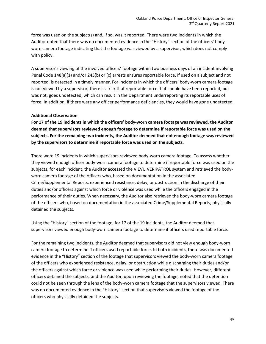force was used on the subject(s) and, if so, was it reported. There were two incidents in which the Auditor noted that there was no documented evidence in the "History" section of the officers' bodyworn camera footage indicating that the footage was viewed by a supervisor, which does not comply with policy.

A supervisor's viewing of the involved officers' footage within two business days of an incident involving Penal Code 148(a)(1) and/or 243(b) or (c) arrests ensures reportable force, if used on a subject and not reported, is detected in a timely manner. For incidents in which the officers' body-worn camera footage is not viewed by a supervisor, there is a risk that reportable force that should have been reported, but was not, goes undetected, which can result in the Department underreporting its reportable uses of force. In addition, if there were any officer performance deficiencies, they would have gone undetected.

#### **Additional Observation**

**For 17 of the 19 incidents in which the officers' body-worn camera footage was reviewed, the Auditor deemed that supervisors reviewed enough footage to determine if reportable force was used on the subjects. For the remaining two incidents, the Auditor deemed that not enough footage was reviewed by the supervisors to determine if reportable force was used on the subjects.**

There were 19 incidents in which supervisors reviewed body-worn camera footage. To assess whether they viewed enough officer body-worn camera footage to determine if reportable force was used on the subjects, for each incident, the Auditor accessed the VIEVU VERIPATROL system and retrieved the bodyworn camera footage of the officers who, based on documentation in the associated Crime/Supplemental Reports, experienced resistance, delay, or obstruction in the discharge of their duties and/or officers against which force or violence was used while the officers engaged in the performance of their duties. When necessary, the Auditor also retrieved the body-worn camera footage of the officers who, based on documentation in the associated Crime/Supplemental Reports, physically detained the subjects.

Using the "History" section of the footage, for 17 of the 19 incidents, the Auditor deemed that supervisors viewed enough body-worn camera footage to determine if officers used reportable force.

For the remaining two incidents, the Auditor deemed that supervisors did not view enough body-worn camera footage to determine if officers used reportable force. In both incidents, there was documented evidence in the "History" section of the footage that supervisors viewed the body-worn camera footage of the officers who experienced resistance, delay, or obstruction while discharging their duties and/or the officers against which force or violence was used while performing their duties. However, different officers detained the subjects, and the Auditor, upon reviewing the footage, noted that the detention could not be seen through the lens of the body-worn camera footage that the supervisors viewed. There was no documented evidence in the "History" section that supervisors viewed the footage of the officers who physically detained the subjects.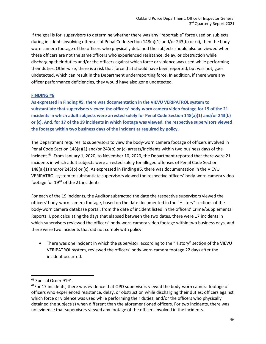If the goal is for supervisors to determine whether there was any "reportable" force used on subjects during incidents involving offenses of Penal Code Section 148(a)(1) and/or 243(b) or (c), then the bodyworn camera footage of the officers who physically detained the subjects should also be viewed when these officers are not the same officers who experienced resistance, delay, or obstruction while discharging their duties and/or the officers against which force or violence was used while performing their duties. Otherwise, there is a risk that force that should have been reported, but was not, goes undetected, which can result in the Department underreporting force. In addition, if there were any officer performance deficiencies, they would have also gone undetected.

#### **FINDING #6**

**As expressed in Finding #5, there was documentation in the VIEVU VERIPATROL system to substantiate that supervisors viewed the officers' body-worn camera video footage for 19 of the 21 incidents in which adult subjects were arrested solely for Penal Code Section 148(a)(1) and/or 243(b) or (c). And, for 17 of the 19 incidents in which footage was viewed, the respective supervisors viewed the footage within two business days of the incident as required by policy.**

The Department requires its supervisors to view the body-worn camera footage of officers involved in Penal Code Section 148(a)(1) and/or 243(b) or (c) arrests/incidents within two business days of the incident.<sup>61</sup> From January 1, 2020, to November 10, 2020, the Department reported that there were 21 incidents in which adult subjects were arrested solely for alleged offenses of Penal Code Section 148(a)(1) and/or 243(b) or (c). As expressed in Finding #5, there was documentation in the VIEVU VERIPATROL system to substantiate supervisors viewed the respective officers' body-worn camera video footage for  $19^{62}$  $19^{62}$  $19^{62}$  of the 21 incidents.

For each of the 19 incidents, the Auditor subtracted the date the respective supervisors viewed the officers' body-worn camera footage, based on the date documented in the "History" sections of the body-worn camera database portal, from the date of incident listed in the officers' Crime/Supplemental Reports. Upon calculating the days that elapsed between the two dates, there were 17 incidents in which supervisors reviewed the officers' body-worn camera video footage within two business days, and there were two incidents that did not comply with policy:

• There was one incident in which the supervisor, according to the "History" section of the VIEVU VERIPATROL system, reviewed the officers' body-worn camera footage 22 days after the incident occurred.

<span id="page-46-0"></span><sup>&</sup>lt;sup>61</sup> Special Order 9191.

<span id="page-46-1"></span> $62$ For 17 incidents, there was evidence that OPD supervisors viewed the body-worn camera footage of officers who experienced resistance, delay, or obstruction while discharging their duties; officers against which force or violence was used while performing their duties; and/or the officers who physically detained the subject(s) when different than the aforementioned officers. For two incidents, there was no evidence that supervisors viewed any footage of the officers involved in the incidents.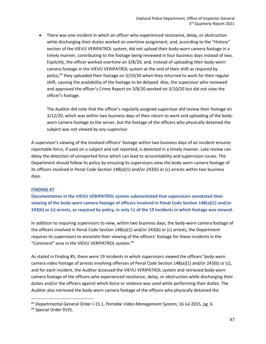There was one incident in which an officer who experienced resistance, delay, or obstruction while discharging their duties worked an overtime assignment, and, according to the "History" section of the VIEVU VERIPATROL system, did not upload their body-worn camera footage in a timely manner, contributing to the footage being reviewed in four business days instead of two. Explicitly, the officer worked overtime on 3/8/20, and, instead of uploading their body-worn camera footage in the VIEVU VERIPATROL system at the end of their shift as required by policy,<sup>[63](#page-47-0)</sup> they uploaded their footage on  $3/10/20$  when they returned to work for their regular shift, causing the availability of the footage to be delayed. Also, the supervisor who reviewed and approved the officer's Crime Report on 3/8/20 worked on 3/10/20 but did not view the officer's footage.

The Auditor did note that the officer's regularly assigned supervisor did review their footage on 3/12/20, which was within two business days of their return to work and uploading of the bodyworn camera footage to the server, but the footage of the officers who physically detained the subject was not viewed by any supervisor.

A supervisor's viewing of the involved officers' footage within two business days of an incident ensures reportable force, if used on a subject and not reported, is detected in a timely manner. Late review can delay the detection of unreported force which can lead to accountability and supervision issues. The Department should follow its policy by ensuring its supervisors view the body-worn camera footage of its officers involved in Penal Code Section 148(a)(1) and/or 243(b) or (c) arrests within two business days.

### **FINDING #7**

**Documentation in the VIEVU VERIPATROL system substantiated that supervisors annotated their viewing of the body-worn camera footage of officers involved in Penal Code Section 148(a)(1) and/or 243(b) or (c) arrests, as required by policy, in only 11 of the 19 incidents in which footage was viewed.**

In addition to requiring supervisors to view, within two business days, the body-worn camera footage of the officers involved in Penal Code Section 148(a)(1) and/or 243(b) or (c) arrests, the Department requires its supervisors to annotate their viewing of the officers' footage for these incidents in the "Comment" area in the VIEVU VERIPATROL system. [64](#page-47-1) 

As stated in Finding #5, there were 19 incidents in which supervisors viewed the officers' body-worn camera video footage of arrests involving offenses of Penal Code Section 148(a)(1) and/or 243(b) or (c), and for each incident, the Auditor accessed the VIEVU VERIPATROL system and retrieved body-worn camera footage of the officers who experienced resistance, delay, or obstruction while discharging their duties and/or the officers against which force or violence was used while performing their duties. The Auditor also retrieved the body-worn camera footage of the officers who physically detained the

<span id="page-47-0"></span><sup>63</sup> Departmental General Order I-15.1, *Portable Video Management System*, 16 Jul 2015, pg. 6.

<span id="page-47-1"></span><sup>&</sup>lt;sup>64</sup> Special Order 9191.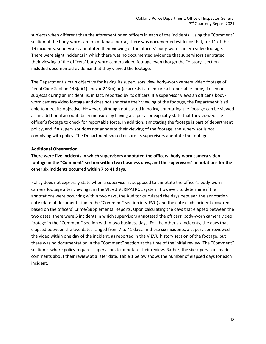subjects when different than the aforementioned officers in each of the incidents. Using the "Comment" section of the body-worn camera database portal, there was documented evidence that, for 11 of the 19 incidents, supervisors annotated their viewing of the officers' body-worn camera video footage. There were eight incidents in which there was no documented evidence that supervisors annotated their viewing of the officers' body-worn camera video footage even though the "History" section included documented evidence that they viewed the footage.

The Department's main objective for having its supervisors view body-worn camera video footage of Penal Code Section 148(a)(1) and/or 243(b) or (c) arrests is to ensure all reportable force, if used on subjects during an incident, is, in fact, reported by its officers. If a supervisor views an officer's bodyworn camera video footage and does not annotate their viewing of the footage, the Department is still able to meet its objective. However, although not stated in policy, annotating the footage can be viewed as an additional accountability measure by having a supervisor explicitly state that they viewed the officer's footage to check for reportable force. In addition, annotating the footage is part of department policy, and if a supervisor does not annotate their viewing of the footage, the supervisor is not complying with policy. The Department should ensure its supervisors annotate the footage.

#### **Additional Observation**

**There were five incidents in which supervisors annotated the officers' body-worn camera video footage in the "Comment" section within two business days, and the supervisors' annotations for the other six incidents occurred within 7 to 41 days**.

Policy does not expressly state when a supervisor is supposed to annotate the officer's body-worn camera footage after viewing it in the VIEVU VERIPATROL system. However, to determine if the annotations were occurring within two days, the Auditor calculated the days between the annotation date (date of documentation in the "Comment" section in VIEVU) and the date each incident occurred based on the officers' Crime/Supplemental Reports. Upon calculating the days that elapsed between the two dates, there were 5 incidents in which supervisors annotated the officers' body-worn camera video footage in the "Comment" section within two business days. For the other six incidents, the days that elapsed between the two dates ranged from 7 to 41 days. In these six incidents, a supervisor reviewed the video within one day of the incident, as reported in the VIEVU history section of the footage, but there was no documentation in the "Comment" section at the time of the initial review. The "Comment" section is where policy requires supervisors to annotate their review. Rather, the six supervisors made comments about their review at a later date. Table 1 below shows the number of elapsed days for each incident.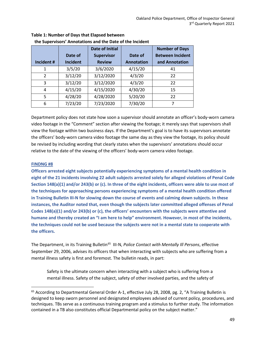|                |          | Date of Initial   |                   | <b>Number of Days</b>   |
|----------------|----------|-------------------|-------------------|-------------------------|
|                | Date of  | <b>Supervisor</b> | Date of           | <b>Between Incident</b> |
| Incident#      | Incident | <b>Review</b>     | <b>Annotation</b> | and Annotation          |
| 1              | 3/5/20   | 3/6/2020          | 4/15/20           | 41                      |
| $\mathfrak{p}$ | 3/12/20  | 3/12/2020         | 4/3/20            | 22                      |
| 3              | 3/12/20  | 3/12/2020         | 4/3/20            | 22                      |
| 4              | 4/15/20  | 4/15/2020         | 4/30/20           | 15                      |
| 5              | 4/28/20  | 4/28/2020         | 5/20/20           | 22                      |
| 6              | 7/23/20  | 7/23/2020         | 7/30/20           | 7                       |

### **Table 1: Number of Days that Elapsed between the Supervisors' Annotations and the Date of the Incident**

Department policy does not state how soon a supervisor should annotate an officer's body-worn camera video footage in the "Comment" section after viewing the footage; it merely says that supervisors shall view the footage within two business days. If the Department's goal is to have its supervisors annotate the officers' body-worn camera video footage the same day as they view the footage, its policy should be revised by including wording that clearly states when the supervisors' annotations should occur relative to the date of the viewing of the officers' body-worn camera video footage.

### **FINDNG #8**

**Officers arrested eight subjects potentially experiencing symptoms of a mental health condition in eight of the 21 incidents involving 22 adult subjects arrested solely for alleged violations of Penal Code Section 148(a)(1) and/or 243(b) or (c). In three of the eight incidents, officers were able to use most of the techniques for approaching persons experiencing symptoms of a mental health condition offered in Training Bulletin III-N for slowing down the course of events and calming down subjects. In these instances, the Auditor noted that, even though the subjects later committed alleged offenses of Penal Codes 148(a)(1) and/or 243(b) or (c), the officers' encounters with the subjects were attentive and humane and thereby created an "I am here to help" environment. However, in most of the incidents, the techniques could not be used because the subjects were not in a mental state to cooperate with the officers.**

The Department, in its Training Bulletin<sup>[65](#page-49-0)</sup> III-N, *Police Contact with Mentally III Persons*, effective September 29, 2006, advises its officers that when interacting with subjects who are suffering from a mental illness safety is first and foremost. The bulletin reads, in part:

Safety is the ultimate concern when interacting with a subject who is suffering from a mental illness. Safety of the subject, safety of other involved parties, and the safety of

<span id="page-49-0"></span><sup>&</sup>lt;sup>65</sup> According to Departmental General Order A-1, effective July 28, 2008, pg. 2, "A Training Bulletin is designed to keep sworn personnel and designated employees advised of current policy, procedures, and techniques. TBs serve as a continuous training program and a stimulus to further study. The information contained in a TB also constitutes official Departmental policy on the subject matter."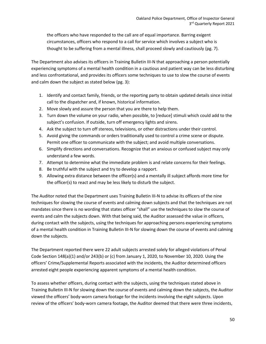the officers who have responded to the call are of equal importance. Barring exigent circumstances, officers who respond to a call for service which involves a subject who is thought to be suffering from a mental illness, shall proceed slowly and cautiously (pg. 7).

The Department also advises its officers in Training Bulletin III-N that approaching a person potentially experiencing symptoms of a mental health condition in a cautious and patient way can be less disturbing and less confrontational, and provides its officers some techniques to use to slow the course of events and calm down the subject as stated below (pg. 3):

- 1. Identify and contact family, friends, or the reporting party to obtain updated details since initial call to the dispatcher and, if known, historical information.
- 2. Move slowly and assure the person that you are there to help them.
- 3. Turn down the volume on your radio, when possible, to [reduce] stimuli which could add to the subject's confusion. If outside, turn off emergency lights and sirens.
- 4. Ask the subject to turn off stereos, televisions, or other distractions under their control.
- 5. Avoid giving the commands or orders traditionally used to control a crime scene or dispute. Permit one officer to communicate with the subject; and avoid multiple conversations.
- 6. Simplify directions and conversations. Recognize that an anxious or confused subject may only understand a few words.
- 7. Attempt to determine what the immediate problem is and relate concerns for their feelings.
- 8. Be truthful with the subject and try to develop a rapport.
- 9. Allowing extra distance between the officer(s) and a mentally ill subject affords more time for the officer(s) to react and may be less likely to disturb the subject.

The Auditor noted that the Department uses Training Bulletin III-N to advise its officers of the nine techniques for slowing the course of events and calming down subjects and that the techniques are not mandates since there is no wording that states officer "shall" use the techniques to slow the course of events and calm the subjects down. With that being said, the Auditor assessed the value in officers, during contact with the subjects, using the techniques for approaching persons experiencing symptoms of a mental health condition in Training Bulletin III-N for slowing down the course of events and calming down the subjects.

The Department reported there were 22 adult subjects arrested solely for alleged violations of Penal Code Section 148(a)(1) and/or 243(b) or (c) from January 1, 2020, to November 10, 2020. Using the officers' Crime/Supplemental Reports associated with the incidents, the Auditor determined officers arrested eight people experiencing apparent symptoms of a mental health condition.

To assess whether officers, during contact with the subjects, using the techniques stated above in Training Bulletin III-N for slowing down the course of events and calming down the subjects, the Auditor viewed the officers' body-worn camera footage for the incidents involving the eight subjects. Upon review of the officers' body-worn camera footage, the Auditor deemed that there were three incidents,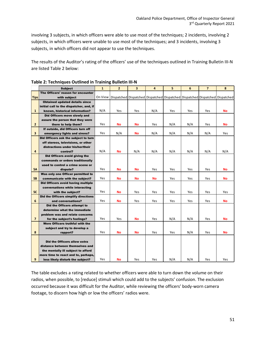involving 3 subjects, in which officers were able to use most of the techniques; 2 incidents, involving 2 subjects, in which officers were unable to use most of the techniques; and 3 incidents, involving 3 subjects, in which officers did not appear to use the techniques.

The results of the Auditor's rating of the officers' use of the techniques outlined in Training Bulletin III-N are listed Table 2 below:

|                | <b>Subject</b>                                       | $\mathbf{1}$ | $\overline{2}$ | 3          | 4                                                                            | 5   | 6   | $\overline{7}$ | 8         |
|----------------|------------------------------------------------------|--------------|----------------|------------|------------------------------------------------------------------------------|-----|-----|----------------|-----------|
|                | The Officers' reason for encounter                   |              |                |            |                                                                              |     |     |                |           |
| <b>Tips</b>    | with subiect                                         | On View      |                |            | Dispatched Dispatched Dispatched Dispatched Dispatched Dispatched Dispatched |     |     |                |           |
|                | <b>Obtained updated details since</b>                |              |                |            |                                                                              |     |     |                |           |
|                | initial call to the dispatcher, and, if              |              |                |            |                                                                              |     |     |                |           |
| $\mathbf{1}$   | known, historical information?                       | N/A          | Yes            | Yes        | N/A                                                                          | Yes | Yes | Yes            | <b>No</b> |
|                | Did Officers move slowly and                         |              |                |            |                                                                              |     |     |                |           |
|                | assure the person that they were                     |              |                |            |                                                                              |     |     |                |           |
| $\overline{2}$ | there to help them?                                  | Yes          | <b>No</b>      | <b>No</b>  | Yes                                                                          | N/A | N/A | Yes            | <b>No</b> |
|                | If outside, did Officers turn off                    |              |                |            |                                                                              |     |     |                |           |
| 3              | emergency lights and sirens?                         | Yes          | N/A            | <b>No</b>  | N/A                                                                          | N/A | N/A | N/A            | Yes       |
|                | Did Officers ask the subject to turn                 |              |                |            |                                                                              |     |     |                |           |
|                | off stereos, televisions, or other                   |              |                |            |                                                                              |     |     |                |           |
|                | distractions under his/her/their                     |              |                |            |                                                                              |     |     |                |           |
| 4              | control?                                             | N/A          | <b>No</b>      | N/A        | N/A                                                                          | N/A | N/A | N/A            | N/A       |
|                | Did Officers avoid giving the                        |              |                |            |                                                                              |     |     |                |           |
|                | commands or orders traditionally                     |              |                |            |                                                                              |     |     |                |           |
|                | used to control a crime scene or                     |              |                |            |                                                                              |     |     |                |           |
| 5Α             | dispute?                                             | Yes          | <b>No</b>      | <b>No</b>  | Yes                                                                          | Yes | Yes | Yes            | <b>No</b> |
|                | Was only one Officer permitted to                    | Yes          |                |            |                                                                              |     |     |                |           |
| <b>5B</b>      | communicate with the subject?                        |              | <b>No</b>      | <b>No</b>  | <b>No</b>                                                                    | Yes | Yes | Yes            | <b>No</b> |
|                | <b>Did Officers avoid having multiple</b>            |              |                |            |                                                                              |     |     |                |           |
| 5C             | conversations while interacting<br>with the subject? | Yes          | <b>No</b>      | Yes        | Yes                                                                          | Yes | Yes | Yes            | Yes       |
|                | Did the Officers simplify directions                 |              |                |            |                                                                              |     |     |                |           |
| 6              | and conversations?                                   | Yes          | <b>No</b>      | <b>Yes</b> | Yes                                                                          | Yes | Yes | Yes            | <b>No</b> |
|                | Did the Officers attempt to                          |              |                |            |                                                                              |     |     |                |           |
|                | determine what the immediate                         |              |                |            |                                                                              |     |     |                |           |
|                | problem was and relate concerns                      |              |                |            |                                                                              |     |     |                |           |
| $\overline{7}$ | for the subject's feelings?                          | Yes          | Yes            | <b>No</b>  | Yes                                                                          | N/A | N/A | Yes            | <b>No</b> |
|                | Were Officers truthful with the                      |              |                |            |                                                                              |     |     |                |           |
|                | subject and try to develop a                         |              |                |            |                                                                              |     |     |                |           |
| 8              | rapport?                                             | Yes          | <b>No</b>      | <b>No</b>  | Yes                                                                          | Yes | N/A | Yes            | <b>No</b> |
|                |                                                      |              |                |            |                                                                              |     |     |                |           |
|                | Did the Officers allow extra                         |              |                |            |                                                                              |     |     |                |           |
|                | distance between themselves and                      |              |                |            |                                                                              |     |     |                |           |
|                | the mentally ill subject to afford                   |              |                |            |                                                                              |     |     |                |           |
|                | more time to react and to, perhaps,                  |              |                |            |                                                                              |     |     |                |           |
| 9              | less likely disturb the subject?                     | Yes          | <b>No</b>      | Yes        | Yes                                                                          | N/A | N/A | Yes            | Yes       |

### **Table 2: Techniques Outlined in Training Bulletin III-N**

The table excludes a rating related to whether officers were able to turn down the volume on their radios, when possible, to [reduce] stimuli which could add to the subjects' confusion. The exclusion occurred because it was difficult for the Auditor, while reviewing the officers' body-worn camera footage, to discern how high or low the officers' radios were.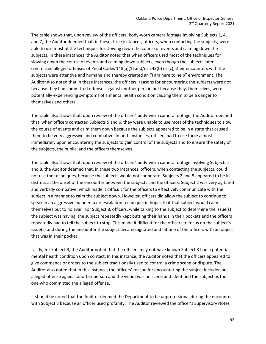The table shows that, upon review of the officers' body-worn camera footage involving Subjects 1, 4, and 7, the Auditor deemed that, in these three instances, officers, when contacting the subjects, were able to use most of the techniques for slowing down the course of events and calming down the subjects. In these instances, the Auditor noted that when officers used most of the techniques for slowing down the course of events and calming down subjects, even though the subjects later committed alleged offenses of Penal Codes 148(a)(1) and/or 243(b) or (c), their encounters with the subjects were attentive and humane and thereby created an "I am here to help" environment. The Auditor also noted that in these instances, the officers' reasons for encountering the subjects were not because they had committed offenses against another person but because they, themselves, were potentially experiencing symptoms of a mental health condition causing them to be a danger to themselves and others.

The table also shows that, upon review of the officers' body-worn camera footage, the Auditor deemed that, when officers contacted Subjects 5 and 6, they were unable to use most of the techniques to slow the course of events and calm them down because the subjects appeared to be in a state that caused them to be very aggressive and combative. In both instances, officers had to use force almost immediately upon encountering the subjects to gain control of the subjects and to ensure the safety of the subjects, the public, and the officers themselves.

The table also shows that, upon review of the officers' body-worn camera footage involving Subjects 2 and 8, the Auditor deemed that, in these two instances, officers, when contacting the subjects, could not use the techniques, because the subjects would not cooperate. Subjects 2 and 8 appeared to be in distress at the onset of the encounter between the subjects and the officers. Subject 2 was very agitated and verbally combative, which made it difficult for the officers to effectively communicate with the subject in a manner to calm the subject down. However, officers did allow the subject to continue to speak in an aggressive manner, a de-escalation technique, in hopes that that subject would calm themselves but to no avail. For Subject 8, officers, while talking to the subject to determine the issue(s) the subject was having, the subject repeatedly kept putting their hands in their pockets and the officers repeatedly had to tell the subject to stop. This made it difficult for the officers to focus on the subject's issue(s) and during the encounter the subject became agitated and hit one of the officers with an object that was in their pocket.

Lastly, for Subject 3, the Auditor noted that the officers may not have known Subject 3 had a potential mental health condition upon contact. In this instance, the Auditor noted that the officers appeared to give commands or orders to the subject traditionally used to control a crime scene or dispute. The Auditor also noted that in this instance, the officers' reason for encountering the subject included an alleged offense against another person and the victim was on scene and identified the subject as the one who committed the alleged offense.

It should be noted that the Auditor deemed the Department to be unprofessional during the encounter with Subject 3 because an officer used profanity. The Auditor reviewed the officer's Supervisory Notes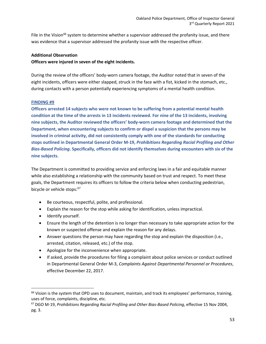File in the Vision<sup>[66](#page-53-0)</sup> system to determine whether a supervisor addressed the profanity issue, and there was evidence that a supervisor addressed the profanity issue with the respective officer.

### **Additional Observation**

#### **Officers were injured in seven of the eight incidents.**

During the review of the officers' body-worn camera footage, the Auditor noted that in seven of the eight incidents, officers were either slapped, struck in the face with a fist, kicked in the stomach, etc., during contacts with a person potentially experiencing symptoms of a mental health condition.

#### **FINDING #9**

**Officers arrested 14 subjects who were not known to be suffering from a potential mental health condition at the time of the arrests in 13 incidents reviewed. For nine of the 13 incidents, involving nine subjects, the Auditor reviewed the officers' body-worn camera footage and determined that the Department, when encountering subjects to confirm or dispel a suspicion that the persons may be involved in criminal activity, did not consistently comply with one of the standards for conducting stops outlined in Departmental General Order M-19,** *Prohibitions Regarding Racial Profiling and Other Bias-Based Policing***. Specifically, officers did not identify themselves during encounters with six of the nine subjects.** 

The Department is committed to providing service and enforcing laws in a fair and equitable manner while also establishing a relationship with the community based on trust and respect. To meet these goals, the Department requires its officers to follow the criteria below when conducting pedestrian, bicycle or vehicle stops: [67](#page-53-1)

- Be courteous, respectful, polite, and professional.
- Explain the reason for the stop while asking for identification, unless impractical.
- Identify yourself.
- Ensure the length of the detention is no longer than necessary to take appropriate action for the known or suspected offense and explain the reason for any delays.
- Answer questions the person may have regarding the stop and explain the disposition (i.e., arrested, citation, released, etc.) of the stop.
- Apologize for the inconvenience when appropriate.
- If asked, provide the procedures for filing a complaint about police services or conduct outlined in Departmental General Order M-3, *Complaints Against Departmental Personnel or Procedures*, effective December 22, 2017.

<span id="page-53-0"></span><sup>&</sup>lt;sup>66</sup> Vision is the system that OPD uses to document, maintain, and track its employees' performance, training, uses of force, complaints, discipline, etc.

<span id="page-53-1"></span><sup>67</sup> DGO M-19, *Prohibitions Regarding Racial Profiling and Other Bias-Based Policing*, effective 15 Nov 2004, pg. 3.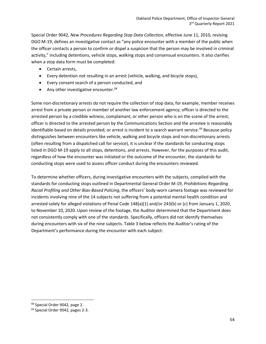Special Order 9042, *New Procedures Regarding Stop Data Collection*, effective June 11, 2010, revising DGO M-19, defines an investigative contact as "any police encounter with a member of the public when the officer contacts a person to confirm or dispel a suspicion that the person may be involved in criminal activity," including detentions, vehicle stops, walking stops and consensual encounters. It also clarifies when a stop data form must be completed:

- Certain arrests,
- Every detention not resulting in an arrest (vehicle, walking, and bicycle stops),
- Every consent search of a person conducted, and
- Any other investigative encounter.<sup>[68](#page-54-0)</sup>

Some non-discretionary arrests do not require the collection of stop data, for example, member receives arrest from a private person or member of another law enforcement agency; officer is directed to the arrested person by a credible witness, complainant, or other person who is on the scene of the arrest; officer is directed to the arrested person by the Communications Section and the arrestee is reasonably identifiable based on details provided; or arrest is incident to a search warrant service. [69](#page-54-1) Because policy distinguishes between encounters like vehicle, walking and bicycle stops and non-discretionary arrests (often resulting from a dispatched call for service), it is unclear if the standards for conducting stops listed in DGO M-19 apply to all stops, detentions, and arrests. However, for the purposes of this audit, regardless of how the encounter was initiated or the outcome of the encounter, the standards for conducting stops were used to assess officer conduct during the encounters reviewed.

To determine whether officers, during investigative encounters with the subjects, complied with the standards for conducting stops outlined in Departmental General Order M-19, *Prohibitions Regarding Racial Profiling and Other Bias-Based Policing*, the officers' body-worn camera footage was reviewed for incidents involving nine of the 14 subjects not suffering from a potential mental health condition and arrested solely for alleged violations of Penal Code 148(a)(1) and/or 243(b) or (c) from January 1, 2020, to November 10, 2020. Upon review of the footage, the Auditor determined that the Department does not consistently comply with one of the standards. Specifically, officers did not identify themselves during encounters with six of the nine subjects. Table 3 below reflects the Auditor's rating of the Department's performance during the encounter with each subject:

<span id="page-54-0"></span><sup>68</sup> Special Order 9042, page 2.

<span id="page-54-1"></span><sup>69</sup> Special Order 9042, pages 2-3.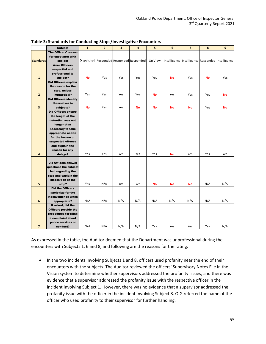|                         | <b>Subject</b>                   | $\mathbf{1}$ | $\overline{2}$ | $\overline{\mathbf{3}}$ | 4                                        | 5         | 6         | $\overline{7}$                                   | 8   | 9   |
|-------------------------|----------------------------------|--------------|----------------|-------------------------|------------------------------------------|-----------|-----------|--------------------------------------------------|-----|-----|
|                         | The Officers' reason             |              |                |                         |                                          |           |           |                                                  |     |     |
|                         | for encounter with               |              |                |                         |                                          |           |           |                                                  |     |     |
| <b>Standards</b>        | subject                          |              |                |                         | Dispatched Responded Responded Responded | On View   |           | Intelligence Intelligence Responded Intelligence |     |     |
|                         | <b>Were Officers</b>             |              |                |                         |                                          |           |           |                                                  |     |     |
|                         | respectful and                   |              |                |                         |                                          |           |           |                                                  |     |     |
|                         | professional to                  |              |                |                         |                                          |           |           |                                                  |     |     |
| $\mathbf{1}$            | subject?                         | No           | Yes            | Yes                     | Yes                                      | Yes       | No        | Yes                                              | No  | Yes |
|                         | <b>Did Officers explain</b>      |              |                |                         |                                          |           |           |                                                  |     |     |
|                         | the reason for the               |              |                |                         |                                          |           |           |                                                  |     |     |
|                         | stop, unless                     |              |                |                         |                                          |           |           |                                                  |     |     |
| $\overline{2}$          | impractical?                     | Yes          | Yes            | Yes                     | Yes                                      | No        | Yes       | Yes                                              | Yes | No  |
|                         | <b>Did Officers identify</b>     |              |                |                         |                                          |           |           |                                                  |     |     |
|                         | themselves to                    |              |                |                         |                                          |           |           |                                                  |     |     |
| $\overline{\mathbf{3}}$ | subjects?                        | No           | Yes            | Yes                     | <b>No</b>                                | <b>No</b> | <b>No</b> | No                                               | Yes | No  |
|                         | <b>Did Officers ensure</b>       |              |                |                         |                                          |           |           |                                                  |     |     |
|                         | the length of the                |              |                |                         |                                          |           |           |                                                  |     |     |
|                         | detention was not<br>longer than |              |                |                         |                                          |           |           |                                                  |     |     |
|                         | necessary to take                |              |                |                         |                                          |           |           |                                                  |     |     |
|                         | appropriate action               |              |                |                         |                                          |           |           |                                                  |     |     |
|                         | for the known or                 |              |                |                         |                                          |           |           |                                                  |     |     |
|                         | suspected offense                |              |                |                         |                                          |           |           |                                                  |     |     |
|                         | and explain the                  |              |                |                         |                                          |           |           |                                                  |     |     |
|                         | reason for any                   |              |                |                         |                                          |           |           |                                                  |     |     |
| $\overline{4}$          | delays?                          | Yes          | Yes            | Yes                     | Yes                                      | Yes       | <b>No</b> | Yes                                              | Yes | Yes |
|                         |                                  |              |                |                         |                                          |           |           |                                                  |     |     |
|                         | <b>Did Officers answer</b>       |              |                |                         |                                          |           |           |                                                  |     |     |
|                         | questions the subject            |              |                |                         |                                          |           |           |                                                  |     |     |
|                         | had regarding the                |              |                |                         |                                          |           |           |                                                  |     |     |
|                         | stop and explain the             |              |                |                         |                                          |           |           |                                                  |     |     |
|                         | disposition of the               | Yes          | N/A            | Yes                     |                                          |           |           |                                                  | N/A | N/A |
| 5                       | stop?<br><b>Did the Officers</b> |              |                |                         | Yes                                      | <b>No</b> | No        | <b>No</b>                                        |     |     |
|                         | apologize for the                |              |                |                         |                                          |           |           |                                                  |     |     |
|                         | inconvenience when               |              |                |                         |                                          |           |           |                                                  |     |     |
| $\boldsymbol{6}$        | appropriate?                     | N/A          | N/A            | N/A                     | N/A                                      | N/A       | N/A       | N/A                                              | N/A | N/A |
|                         | If asked, did the                |              |                |                         |                                          |           |           |                                                  |     |     |
|                         | <b>Officers provide the</b>      |              |                |                         |                                          |           |           |                                                  |     |     |
|                         | procedures for filing            |              |                |                         |                                          |           |           |                                                  |     |     |
|                         | a complaint about                |              |                |                         |                                          |           |           |                                                  |     |     |
|                         | police services or               |              |                |                         |                                          |           |           |                                                  |     |     |
| $\overline{\mathbf{z}}$ | conduct?                         | N/A          | N/A            | N/A                     | N/A                                      | Yes       | Yes       | Yes                                              | Yes | N/A |

#### **Table 3: Standards for Conducting Stops/Investigative Encounters**

As expressed in the table, the Auditor deemed that the Department was unprofessional during the encounters with Subjects 1, 6 and 8, and following are the reasons for the rating:

• In the two incidents involving Subjects 1 and 8, officers used profanity near the end of their encounters with the subjects. The Auditor reviewed the officers' Supervisory Notes File in the Vision system to determine whether supervisors addressed the profanity issues, and there was evidence that a supervisor addressed the profanity issue with the respective officer in the incident involving Subject 1. However, there was no evidence that a supervisor addressed the profanity issue with the officer in the incident involving Subject 8. OIG referred the name of the officer who used profanity to their supervisor for further handling.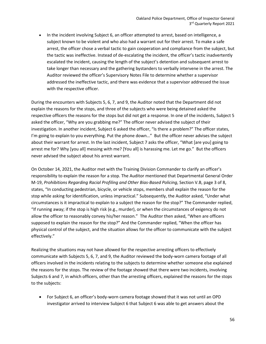• In the incident involving Subject 6, an officer attempted to arrest, based on intelligence, a subject known to be violent and who also had a warrant out for their arrest. To make a safe arrest, the officer chose a verbal tactic to gain cooperation and compliance from the subject, but the tactic was ineffective. Instead of de-escalating the incident, the officer's tactic inadvertently escalated the incident, causing the length of the subject's detention and subsequent arrest to take longer than necessary and the gathering bystanders to verbally intervene in the arrest. The Auditor reviewed the officer's Supervisory Notes File to determine whether a supervisor addressed the ineffective tactic, and there was evidence that a supervisor addressed the issue with the respective officer.

During the encounters with Subjects 5, 6, 7, and 9, the Auditor noted that the Department did not explain the reasons for the stops, and three of the subjects who were being detained asked the respective officers the reasons for the stops but did not get a response. In one of the incidents, Subject 5 asked the officer, "Why are you grabbing me?" The officer never advised the subject of their investigation. In another incident, Subject 6 asked the officer, "Is there a problem?" The officer states, I'm going to explain to you everything. Put the phone down…" But the officer never advises the subject about their warrant for arrest. In the last incident, Subject 7 asks the officer, "What [are you] going to arrest me for? Why [you all] messing with me? [You all] is harassing me. Let me go." But the officers never advised the subject about his arrest warrant.

On October 14, 2021, the Auditor met with the Training Division Commander to clarify an officer's responsibility to explain the reason for a stop. The Auditor mentioned that Departmental General Order M-19, *Prohibitions Regarding Racial Profiling and Other Bias-Based Policing*, Section V.B, page 3 of 8, states, "In conducting pedestrian, bicycle, or vehicle stops, members shall explain the reason for the stop while asking for identification, unless impractical." Subsequently, the Auditor asked, "Under what circumstances is it impractical to explain to a subject the reason for the stop?" The Commander replied, "If running away; if the stop is high risk (e.g., murder), or when the circumstances of exigency do not allow the officer to reasonably convey his/her reason." The Auditor then asked, "When are officers supposed to explain the reason for the stop?" And the Commander replied, "When the officer has physical control of the subject, and the situation allows for the officer to communicate with the subject effectively."

Realizing the situations may not have allowed for the respective arresting officers to effectively communicate with Subjects 5, 6, 7, and 9, the Auditor reviewed the body-worn camera footage of all officers involved in the incidents relating to the subjects to determine whether someone else explained the reasons for the stops. The review of the footage showed that there were two incidents, involving Subjects 6 and 7, in which officers, other than the arresting officers, explained the reasons for the stops to the subjects:

• For Subject 6, an officer's body-worn camera footage showed that it was not until an OPD investigator arrived to interview Subject 6 that Subject 6 was able to get answers about the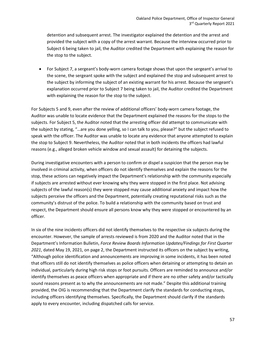detention and subsequent arrest. The investigator explained the detention and the arrest and provided the subject with a copy of the arrest warrant. Because the interview occurred prior to Subject 6 being taken to jail, the Auditor credited the Department with explaining the reason for the stop to the subject.

• For Subject 7, a sergeant's body-worn camera footage shows that upon the sergeant's arrival to the scene, the sergeant spoke with the subject and explained the stop and subsequent arrest to the subject by informing the subject of an existing warrant for his arrest. Because the sergeant's explanation occurred prior to Subject 7 being taken to jail, the Auditor credited the Department with explaining the reason for the stop to the subject.

For Subjects 5 and 9, even after the review of additional officers' body-worn camera footage, the Auditor was unable to locate evidence that the Department explained the reasons for the stops to the subjects. For Subject 5, the Auditor noted that the arresting officer did attempt to communicate with the subject by stating, "…are you done yelling, so I can talk to you, please?" but the subject refused to speak with the officer. The Auditor was unable to locate any evidence that anyone attempted to explain the stop to Subject 9. Nevertheless, the Auditor noted that in both incidents the officers had lawful reasons (e.g., alleged broken vehicle window and sexual assault) for detaining the subjects.

During investigative encounters with a person to confirm or dispel a suspicion that the person may be involved in criminal activity, when officers do not identify themselves and explain the reasons for the stop, these actions can negatively impact the Department's relationship with the community especially if subjects are arrested without ever knowing why they were stopped in the first place. Not advising subjects of the lawful reason(s) they were stopped may cause additional anxiety and impact how the subjects perceive the officers and the Department, potentially creating reputational risks such as the community's distrust of the police. To build a relationship with the community based on trust and respect, the Department should ensure all persons know why they were stopped or encountered by an officer.

In six of the nine incidents officers did not identify themselves to the respective six subjects during the encounter. However, the sample of arrests reviewed is from 2020 and the Auditor noted that in the Department's Information Bulletin, *Force Review Boards Information Updates/Findings for First Quarter 2021*, dated May 19, 2021, on page 2, the Department instructed its officers on the subject by writing, "Although police identification and announcements are improving in some incidents, it has been noted that officers still do not identify themselves as police officers when detaining or attempting to detain an individual, particularly during high risk stops or foot pursuits. Officers are reminded to announce and/or identify themselves as peace officers when appropriate and if there are no other safety and/or tactically sound reasons present as to why the announcements are not made." Despite this additional training provided, the OIG is recommending that the Department clarify the standards for conducting stops, including officers identifying themselves. Specifically, the Department should clarify if the standards apply to every encounter, including dispatched calls for service.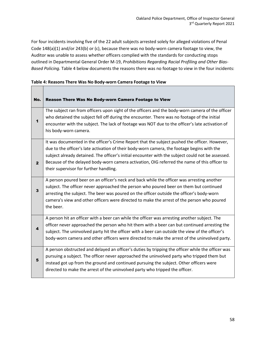For four incidents involving five of the 22 adult subjects arrested solely for alleged violations of Penal Code 148(a)(1) and/or 243(b) or (c), because there was no body-worn camera footage to view, the Auditor was unable to assess whether officers complied with the standards for conducting stops outlined in Departmental General Order M-19, *Prohibitions Regarding Racial Profiling and Other Bias-Based Policing.* Table 4 below documents the reasons there was no footage to view in the four incidents:

### **Table 4: Reasons There Was No Body-worn Camera Footage to View**

 $\overline{\phantom{0}}$  $\blacksquare$ 

| No.          | Reason There Was No Body-worn Camera Footage to View                                                                                                                                                                                                                                                                                                                                                                                        |
|--------------|---------------------------------------------------------------------------------------------------------------------------------------------------------------------------------------------------------------------------------------------------------------------------------------------------------------------------------------------------------------------------------------------------------------------------------------------|
| $\mathbf 1$  | The subject ran from officers upon sight of the officers and the body-worn camera of the officer<br>who detained the subject fell off during the encounter. There was no footage of the initial<br>encounter with the subject. The lack of footage was NOT due to the officer's late activation of<br>his body-worn camera.                                                                                                                 |
| $\mathbf{2}$ | It was documented in the officer's Crime Report that the subject pushed the officer. However,<br>due to the officer's late activation of their body-worn camera, the footage begins with the<br>subject already detained. The officer's initial encounter with the subject could not be assessed.<br>Because of the delayed body-worn camera activation, OIG referred the name of this officer to<br>their supervisor for further handling. |
| 3            | A person poured beer on an officer's neck and back while the officer was arresting another<br>subject. The officer never approached the person who poured beer on them but continued<br>arresting the subject. The beer was poured on the officer outside the officer's body-worn<br>camera's view and other officers were directed to make the arrest of the person who poured<br>the beer.                                                |
| 4            | A person hit an officer with a beer can while the officer was arresting another subject. The<br>officer never approached the person who hit them with a beer can but continued arresting the<br>subject. The uninvolved party hit the officer with a beer can outside the view of the officer's<br>body-worn camera and other officers were directed to make the arrest of the uninvolved party.                                            |
| 5            | A person obstructed and delayed an officer's duties by tripping the officer while the officer was<br>pursuing a subject. The officer never approached the uninvolved party who tripped them but<br>instead got up from the ground and continued pursuing the subject. Other officers were<br>directed to make the arrest of the uninvolved party who tripped the officer.                                                                   |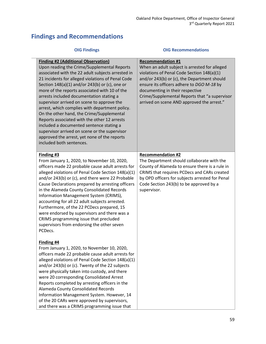### **Findings and Recommendations**

| <b>OIG Findings</b>                                                                                                                                                                                                                                                                                                                                                                                                                                                                                                                                                                                                                                                                                                      | <b>OIG Recommendations</b>                                                                                                                                                                                                                                                                                                                            |
|--------------------------------------------------------------------------------------------------------------------------------------------------------------------------------------------------------------------------------------------------------------------------------------------------------------------------------------------------------------------------------------------------------------------------------------------------------------------------------------------------------------------------------------------------------------------------------------------------------------------------------------------------------------------------------------------------------------------------|-------------------------------------------------------------------------------------------------------------------------------------------------------------------------------------------------------------------------------------------------------------------------------------------------------------------------------------------------------|
| <b>Finding #2 (Additional Observation)</b><br>Upon reading the Crime/Supplemental Reports<br>associated with the 22 adult subjects arrested in<br>21 incidents for alleged violations of Penal Code<br>Section 148(a)(1) and/or 243(b) or (c), one or<br>more of the reports associated with 10 of the<br>arrests included documentation stating a<br>supervisor arrived on scene to approve the<br>arrest, which complies with department policy.<br>On the other hand, the Crime/Supplemental<br>Reports associated with the other 12 arrests<br>included a documented sentence stating a<br>supervisor arrived on scene or the supervisor<br>approved the arrest, yet none of the reports<br>included both sentences. | <b>Recommendation #1</b><br>When an adult subject is arrested for alleged<br>violations of Penal Code Section 148(a)(1)<br>and/or 243(b) or (c), the Department should<br>ensure its officers adhere to DGO M-18 by<br>documenting in their respective<br>Crime/Supplemental Reports that "a supervisor<br>arrived on scene AND approved the arrest." |
| Finding #3<br>From January 1, 2020, to November 10, 2020,<br>officers made 22 probable cause adult arrests for<br>alleged violations of Penal Code Section 148(a)(1)<br>and/or 243(b) or (c), and there were 22 Probable<br>Cause Declarations prepared by arresting officers<br>in the Alameda County Consolidated Records<br>Information Management System (CRIMS),<br>accounting for all 22 adult subjects arrested.<br>Furthermore, of the 22 PCDecs prepared, 15<br>were endorsed by supervisors and there was a<br>CRIMS programming issue that precluded<br>supervisors from endorsing the other seven<br>PCDecs.                                                                                                 | <b>Recommendation #2</b><br>The Department should collaborate with the<br>County of Alameda to ensure there is a rule in<br>CRIMS that requires PCDecs and CARs created<br>by OPD officers for subjects arrested for Penal<br>Code Section 243(b) to be approved by a<br>supervisor.                                                                  |
| Finding #4<br>From January 1, 2020, to November 10, 2020,<br>officers made 22 probable cause adult arrests for<br>alleged violations of Penal Code Section 148(a)(1)<br>and/or 243(b) or (c). Twenty of the 22 subjects<br>were physically taken into custody, and there<br>were 20 corresponding Consolidated Arrest<br>Reports completed by arresting officers in the<br>Alameda County Consolidated Records<br>Information Management System. However, 14<br>of the 20 CARs were approved by supervisors,<br>and there was a CRIMS programming issue that                                                                                                                                                             |                                                                                                                                                                                                                                                                                                                                                       |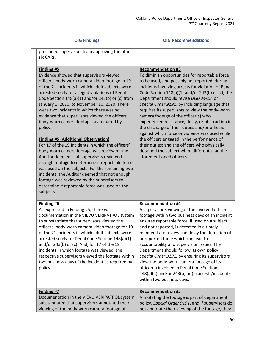### **OIG Findings OIG Recommendations**

| precluded supervisors from approving the other<br>six CARs.                                                                                                                                                                                                                                                                                                                                                                                                                                                                                                                                                                                                                                                                                                                                                                                                                                                                                    |                                                                                                                                                                                                                                                                                                                                                                                                                                                                                                                                                                                                                                                                                                                                                                  |
|------------------------------------------------------------------------------------------------------------------------------------------------------------------------------------------------------------------------------------------------------------------------------------------------------------------------------------------------------------------------------------------------------------------------------------------------------------------------------------------------------------------------------------------------------------------------------------------------------------------------------------------------------------------------------------------------------------------------------------------------------------------------------------------------------------------------------------------------------------------------------------------------------------------------------------------------|------------------------------------------------------------------------------------------------------------------------------------------------------------------------------------------------------------------------------------------------------------------------------------------------------------------------------------------------------------------------------------------------------------------------------------------------------------------------------------------------------------------------------------------------------------------------------------------------------------------------------------------------------------------------------------------------------------------------------------------------------------------|
| <b>Finding #5</b><br>Evidence showed that supervisors viewed<br>officers' body-worn camera video footage in 19<br>of the 21 incidents in which adult subjects were<br>arrested solely for alleged violations of Penal<br>Code Section 148(a)(1) and/or 243(b) or (c) from<br>January 1, 2020, to November 10, 2020. There<br>were two incidents in which there was no<br>evidence that supervisors viewed the officers'<br>body-worn camera footage, as required by<br>policy.<br><b>Finding #5 (Additional Observation)</b><br>For 17 of the 19 incidents in which the officers'<br>body-worn camera footage was reviewed, the<br>Auditor deemed that supervisors reviewed<br>enough footage to determine if reportable force<br>was used on the subjects. For the remaining two<br>incidents, the Auditor deemed that not enough<br>footage was reviewed by the supervisors to<br>determine if reportable force was used on the<br>subjects. | <b>Recommendation #3</b><br>To diminish opportunities for reportable force<br>to be used, and possibly not reported, during<br>incidents involving arrests for violation of Penal<br>Code Section $148(a)(1)$ and/or $243(b)$ or (c), the<br>Department should revise DGO M-18, or<br>Special Order 9191, by including language that<br>requires its supervisors to view the body-worn<br>camera footage of the officer(s) who<br>experienced resistance, delay, or obstruction in<br>the discharge of their duties and/or officers<br>against which force or violence was used while<br>the officers engaged in the performance of<br>their duties; and the officers who physically<br>detained the subject when different than the<br>aforementioned officers. |
| Finding #6<br>As expressed in Finding #5, there was<br>documentation in the VIEVU VERIPATROL system<br>to substantiate that supervisors viewed the<br>officers' body-worn camera video footage for 19<br>of the 21 incidents in which adult subjects were<br>arrested solely for Penal Code Section 148(a)(1)<br>and/or 243(b) or (c). And, for 17 of the 19<br>incidents in which footage was viewed, the<br>respective supervisors viewed the footage within<br>two business days of the incident as required by<br>policy.                                                                                                                                                                                                                                                                                                                                                                                                                  | <b>Recommendation #4</b><br>A supervisor's viewing of the involved officers'<br>footage within two business days of an incident<br>ensures reportable force, if used on a subject<br>and not reported, is detected in a timely<br>manner. Late review can delay the detection of<br>unreported force which can lead to<br>accountability and supervision issues. The<br>Department should follow its own policy,<br>Special Order 9191, by ensuring its supervisors<br>view the body-worn camera footage of its<br>officer(s) involved in Penal Code Section<br>148(a)(1) and/or 243(b) or (c) arrests/incidents<br>within two business days.                                                                                                                    |
| Finding #7<br>Documentation in the VIEVU VERIPATROL system<br>substantiated that supervisors annotated their<br>viewing of the body-worn camera footage of                                                                                                                                                                                                                                                                                                                                                                                                                                                                                                                                                                                                                                                                                                                                                                                     | <b>Recommendation #5</b><br>Annotating the footage is part of department<br>policy, Special Order 9191, and if supervisors do<br>not annotate their viewing of the footage, they                                                                                                                                                                                                                                                                                                                                                                                                                                                                                                                                                                                 |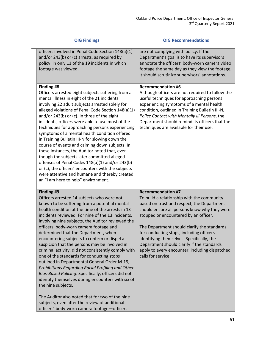| <b>OIG Findings</b>                                                                                                                                                                                                                                                                                                                                                                                                                                                                                                                                                                                                                                                                                                                                                                                                                                                                                                                                       | <b>OIG Recommendations</b>                                                                                                                                                                                                                                                                                                                                                                                                                                                  |
|-----------------------------------------------------------------------------------------------------------------------------------------------------------------------------------------------------------------------------------------------------------------------------------------------------------------------------------------------------------------------------------------------------------------------------------------------------------------------------------------------------------------------------------------------------------------------------------------------------------------------------------------------------------------------------------------------------------------------------------------------------------------------------------------------------------------------------------------------------------------------------------------------------------------------------------------------------------|-----------------------------------------------------------------------------------------------------------------------------------------------------------------------------------------------------------------------------------------------------------------------------------------------------------------------------------------------------------------------------------------------------------------------------------------------------------------------------|
| officers involved in Penal Code Section 148(a)(1)<br>and/or 243(b) or (c) arrests, as required by<br>policy, in only 11 of the 19 incidents in which<br>footage was viewed.                                                                                                                                                                                                                                                                                                                                                                                                                                                                                                                                                                                                                                                                                                                                                                               | are not complying with policy. If the<br>Department's goal is to have its supervisors<br>annotate the officers' body-worn camera video<br>footage the same day as they view the footage,<br>it should scrutinize supervisors' annotations.                                                                                                                                                                                                                                  |
| Finding #8<br>Officers arrested eight subjects suffering from a<br>mental illness in eight of the 21 incidents<br>involving 22 adult subjects arrested solely for<br>alleged violations of Penal Code Section 148(a)(1)<br>and/or 243(b) or (c). In three of the eight<br>incidents, officers were able to use most of the<br>techniques for approaching persons experiencing<br>symptoms of a mental health condition offered<br>in Training Bulletin III-N for slowing down the<br>course of events and calming down subjects. In<br>these instances, the Auditor noted that, even<br>though the subjects later committed alleged<br>offenses of Penal Codes 148(a)(1) and/or 243(b)<br>or (c), the officers' encounters with the subjects<br>were attentive and humane and thereby created<br>an "I am here to help" environment.                                                                                                                      | <b>Recommendation #6</b><br>Although officers are not required to follow the<br>useful techniques for approaching persons<br>experiencing symptoms of a mental health<br>condition, outlined in Training Bulletin III-N,<br>Police Contact with Mentally III Persons, the<br>Department should remind its officers that the<br>techniques are available for their use.                                                                                                      |
| Finding #9<br>Officers arrested 14 subjects who were not<br>known to be suffering from a potential mental<br>health condition at the time of the arrests in 13<br>incidents reviewed. For nine of the 13 incidents,<br>involving nine subjects, the Auditor reviewed the<br>officers' body-worn camera footage and<br>determined that the Department, when<br>encountering subjects to confirm or dispel a<br>suspicion that the persons may be involved in<br>criminal activity, did not consistently comply with<br>one of the standards for conducting stops<br>outlined in Departmental General Order M-19,<br>Prohibitions Regarding Racial Profiling and Other<br>Bias-Based Policing. Specifically, officers did not<br>identify themselves during encounters with six of<br>the nine subjects.<br>The Auditor also noted that for two of the nine<br>subjects, even after the review of additional<br>officers' body-worn camera footage-officers | <b>Recommendation #7</b><br>To build a relationship with the community<br>based on trust and respect, the Department<br>should ensure all persons know why they were<br>stopped or encountered by an officer.<br>The Department should clarify the standards<br>for conducting stops, including officers<br>identifying themselves. Specifically, the<br>Department should clarify if the standards<br>apply to every encounter, including dispatched<br>calls for service. |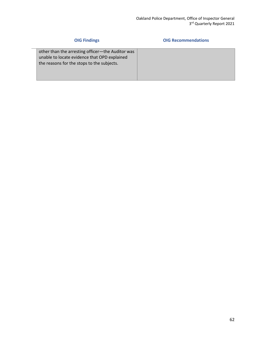## **OIG Findings OIG Recommendations** other than the arresting officer—the Auditor was unable to locate evidence that OPD explained the reasons for the stops to the subjects.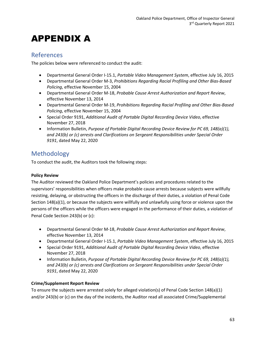## APPENDIX A

### References

The policies below were referenced to conduct the audit:

- Departmental General Order I-15.1, *Portable Video Management System*, effective July 16, 2015
- Departmental General Order M-3, *Prohibitions Regarding Racial Profiling and Other Bias-Based Policing*, effective November 15, 2004
- Departmental General Order M-18, *Probable Cause Arrest Authorization and Report Review*, effective November 13, 2014
- Departmental General Order M-19, *Prohibitions Regarding Racial Profiling and Other Bias-Based Policing*, effective November 15, 2004
- Special Order 9191, *Additional Audit of Portable Digital Recording Device Video*, effective November 27, 2018
- Information Bulletin, *Purpose of Portable Digital Recording Device Review for PC 69, 148(a)(1), and 243(b) or (c) arrests and Clarifications on Sergeant Responsibilities under Special Order 9191*, dated May 22, 2020

### Methodology

To conduct the audit, the Auditors took the following steps:

### **Policy Review**

The Auditor reviewed the Oakland Police Department's policies and procedures related to the supervisors' responsibilities when officers make probable cause arrests because subjects were willfully resisting, delaying, or obstructing the officers in the discharge of their duties, a violation of Penal Code Section 148(a)(1), or because the subjects were willfully and unlawfully using force or violence upon the persons of the officers while the officers were engaged in the performance of their duties, a violation of Penal Code Section 243(b) or (c):

- Departmental General Order M-18, *Probable Cause Arrest Authorization and Report Review*, effective November 13, 2014
- Departmental General Order I-15.1, *Portable Video Management System*, effective July 16, 2015
- Special Order 9191, *Additional Audit of Portable Digital Recording Device Video*, effective November 27, 2018
- Information Bulletin, *Purpose of Portable Digital Recording Device Review for PC 69, 148(a)(1), and 243(b) or (c) arrests and Clarifications on Sergeant Responsibilities under Special Order 9191*, dated May 22, 2020

### **Crime/Supplement Report Review**

To ensure the subjects were arrested solely for alleged violation(s) of Penal Code Section 148(a)(1) and/or 243(b) or (c) on the day of the incidents, the Auditor read all associated Crime/Supplemental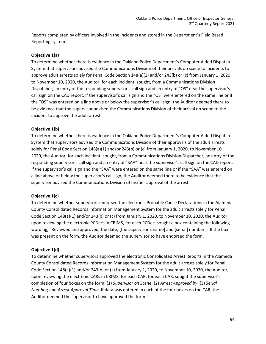Reports completed by officers involved in the incidents and stored in the Department's Field Based Reporting system.

### **Objective 1(a)**

To determine whether there is evidence in the Oakland Police Department's Computer Aided Dispatch System that supervisors advised the Communications Division of their arrivals on scene to incidents to approve adult arrests solely for Penal Code Section 148(a)(1) and/or 243(b) or (c) from January 1, 2020 to November 10, 2020, the Auditor, for each incident, sought, from a Communications Division Dispatcher, an entry of the responding supervisor's call sign and an entry of "OS" near the supervisor's call sign on the CAD report. If the supervisor's call sign and the "OS" were entered on the same line or if the "OS" was entered on a line above or below the supervisor's call sign, the Auditor deemed there to be evidence that the supervisor advised the Communications Division of their arrival on scene to the incident to approve the adult arrest.

#### **Objective 1(b)**

To determine whether there is evidence in the Oakland Police Department's Computer Aided Dispatch System that supervisors advised the Communications Division of their approvals of the adult arrests solely for Penal Code Section 148(a)(1) and/or 243(b) or (c) from January 1, 2020, to November 10, 2020, the Auditor, for each incident, sought, from a Communications Division Dispatcher, an entry of the responding supervisor's call sign and an entry of "SAA" near the supervisor's call sign on the CAD report. If the supervisor's call sign and the "SAA" were entered on the same line or if the "SAA" was entered on a line above or below the supervisor's call sign, the Auditor deemed there to be evidence that the supervisor advised the Communications Division of his/her approval of the arrest.

### **Objective 1(c)**

To determine whether supervisors endorsed the electronic Probable Cause Declarations in the Alameda County Consolidated Records Information Management System for the adult arrests solely for Penal Code Section 148(a)(1) and/or 243(b) or (c) from January 1, 2020, to November 10, 2020, the Auditor, upon reviewing the electronic PCDecs in CRIMS, for each PCDec, sought a box containing the following wording, "Reviewed and approved, the date, [the supervisor's name] and [serial] number." If the box was present on the form, the Auditor deemed the supervisor to have endorsed the form.

### **Objective 1(d)**

To determine whether supervisors approved the electronic Consolidated Arrest Reports in the Alameda County Consolidated Records Information Management System for the adult arrests solely for Penal Code Section 148(a)(1) and/or 243(b) or (c) from January 1, 2020, to November 10, 2020, the Auditor, upon reviewing the electronic CARs in CRIMS, for each CAR, for each CAR, sought the supervisor's completion of four boxes on the form: (1) *Supervisor on Scene*; (2) *Arrest Approved by*; (3) *Serial Number*; and *Arrest Approval Time*. If data was entered in each of the four boxes on the CAR, the Auditor deemed the supervisor to have approved the form.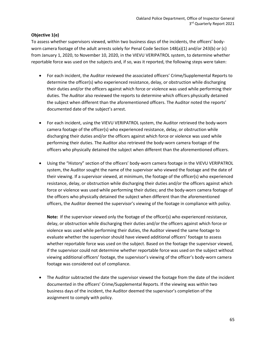### **Objective 1(e)**

To assess whether supervisors viewed, within two business days of the incidents, the officers' bodyworn camera footage of the adult arrests solely for Penal Code Section 148(a)(1) and/or 243(b) or (c) from January 1, 2020, to November 10, 2020, in the VIEVU VERIPATROL system, to determine whether reportable force was used on the subjects and, if so, was it reported, the following steps were taken:

- For each incident, the Auditor reviewed the associated officers' Crime/Supplemental Reports to determine the officer(s) who experienced resistance, delay, or obstruction while discharging their duties and/or the officers against which force or violence was used while performing their duties. The Auditor also reviewed the reports to determine which officers physically detained the subject when different than the aforementioned officers. The Auditor noted the reports' documented date of the subject's arrest.
- For each incident, using the VIEVU VERIPATROL system, the Auditor retrieved the body-worn camera footage of the officer(s) who experienced resistance, delay, or obstruction while discharging their duties and/or the officers against which force or violence was used while performing their duties. The Auditor also retrieved the body-worn camera footage of the officers who physically detained the subject when different than the aforementioned officers.
- Using the "History" section of the officers' body-worn camera footage in the VIEVU VERIPATROL system, the Auditor sought the name of the supervisor who viewed the footage and the date of their viewing. If a supervisor viewed, at minimum, the footage of the officer(s) who experienced resistance, delay, or obstruction while discharging their duties and/or the officers against which force or violence was used while performing their duties; and the body-worn camera footage of the officers who physically detained the subject when different than the aforementioned officers, the Auditor deemed the supervisor's viewing of the footage in compliance with policy.

**Note:** If the supervisor viewed only the footage of the officer(s) who experienced resistance, delay, or obstruction while discharging their duties and/or the officers against which force or violence was used while performing their duties, the Auditor viewed the same footage to evaluate whether the supervisor should have viewed additional officers' footage to assess whether reportable force was used on the subject. Based on the footage the supervisor viewed, if the supervisor could not determine whether reportable force was used on the subject without viewing additional officers' footage, the supervisor's viewing of the officer's body-worn camera footage was considered out of compliance.

• The Auditor subtracted the date the supervisor viewed the footage from the date of the incident documented in the officers' Crime/Supplemental Reports. If the viewing was within two business days of the incident, the Auditor deemed the supervisor's completion of the assignment to comply with policy.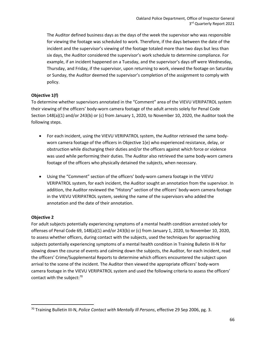The Auditor defined business days as the days of the week the supervisor who was responsible for viewing the footage was scheduled to work. Therefore, if the days between the date of the incident and the supervisor's viewing of the footage totaled more than two days but less than six days, the Auditor considered the supervisor's work schedule to determine compliance. For example, if an incident happened on a Tuesday, and the supervisor's days off were Wednesday, Thursday, and Friday, if the supervisor, upon returning to work, viewed the footage on Saturday or Sunday, the Auditor deemed the supervisor's completion of the assignment to comply with policy.

### **Objective 1(f)**

To determine whether supervisors annotated in the "Comment" area of the VIEVU VERIPATROL system their viewing of the officers' body-worn camera footage of the adult arrests solely for Penal Code Section 148(a)(1) and/or 243(b) or (c) from January 1, 2020, to November 10, 2020, the Auditor took the following steps.

- For each incident, using the VIEVU VERIPATROL system, the Auditor retrieved the same bodyworn camera footage of the officers in Objective 1(e) who experienced resistance, delay, or obstruction while discharging their duties and/or the officers against which force or violence was used while performing their duties. The Auditor also retrieved the same body-worn camera footage of the officers who physically detained the subjects, when necessary.
- Using the "Comment" section of the officers' body-worn camera footage in the VIEVU VERIPATROL system, for each incident, the Auditor sought an annotation from the supervisor. In addition, the Auditor reviewed the "History" section of the officers' body-worn camera footage in the VIEVU VERIPATROL system, seeking the name of the supervisors who added the annotation and the date of their annotation.

### **Objective 2**

For adult subjects potentially experiencing symptoms of a mental health condition arrested solely for offenses of Penal Code 69, 148(a)(1) and/or 243(b) or (c) from January 1, 2020, to November 10, 2020, to assess whether officers, during contact with the subjects, used the techniques for approaching subjects potentially experiencing symptoms of a mental health condition in Training Bulletin III-N for slowing down the course of events and calming down the subjects, the Auditor, for each incident, read the officers' Crime/Supplemental Reports to determine which officers encountered the subject upon arrival to the scene of the incident. The Auditor then viewed the appropriate officers' body-worn camera footage in the VIEVU VERIPATROL system and used the following criteria to assess the officers' contact with the subject: $70$ 

<span id="page-66-0"></span><sup>70</sup> Training Bulletin III-N, *Police Contact with Mentally Ill Persons*, effective 29 Sep 2006, pg. 3.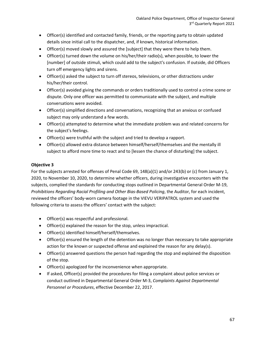- Officer(s) identified and contacted family, friends, or the reporting party to obtain updated details since initial call to the dispatcher, and, if known, historical information.
- Officer(s) moved slowly and assured the [subject] that they were there to help them.
- Officer(s) turned down the volume on his/her/their radio(s), when possible, to lower the [number] of outside stimuli, which could add to the subject's confusion. If outside, did Officers turn off emergency lights and sirens.
- Officer(s) asked the subject to turn off stereos, televisions, or other distractions under his/her/their control.
- Officer(s) avoided giving the commands or orders traditionally used to control a crime scene or dispute. Only one officer was permitted to communicate with the subject, and multiple conversations were avoided.
- Officer(s) simplified directions and conversations, recognizing that an anxious or confused subject may only understand a few words.
- Officer(s) attempted to determine what the immediate problem was and related concerns for the subject's feelings.
- Officer(s) were truthful with the subject and tried to develop a rapport.
- Officer(s) allowed extra distance between himself/herself/themselves and the mentally ill subject to afford more time to react and to [lessen the chance of disturbing] the subject.

### **Objective 3**

For the subjects arrested for offenses of Penal Code 69, 148(a)(1) and/or 243(b) or (c) from January 1, 2020, to November 10, 2020, to determine whether officers, during investigative encounters with the subjects, complied the standards for conducting stops outlined in Departmental General Order M-19, *Prohibitions Regarding Racial Profiling and Other Bias-Based Policing*, the Auditor, for each incident, reviewed the officers' body-worn camera footage in the VIEVU VERIPATROL system and used the following criteria to assess the officers' contact with the subject:

- Officer(s) was respectful and professional.
- Officer(s) explained the reason for the stop, unless impractical.
- Officer(s) identified himself/herself/themselves.
- Officer(s) ensured the length of the detention was no longer than necessary to take appropriate action for the known or suspected offense and explained the reason for any delay(s).
- Officer(s) answered questions the person had regarding the stop and explained the disposition of the stop.
- Officer(s) apologized for the inconvenience when appropriate.
- If asked, Officer(s) provided the procedures for filing a complaint about police services or conduct outlined in Departmental General Order M-3, *Complaints Against Departmental Personnel or Procedures*, effective December 22, 2017.